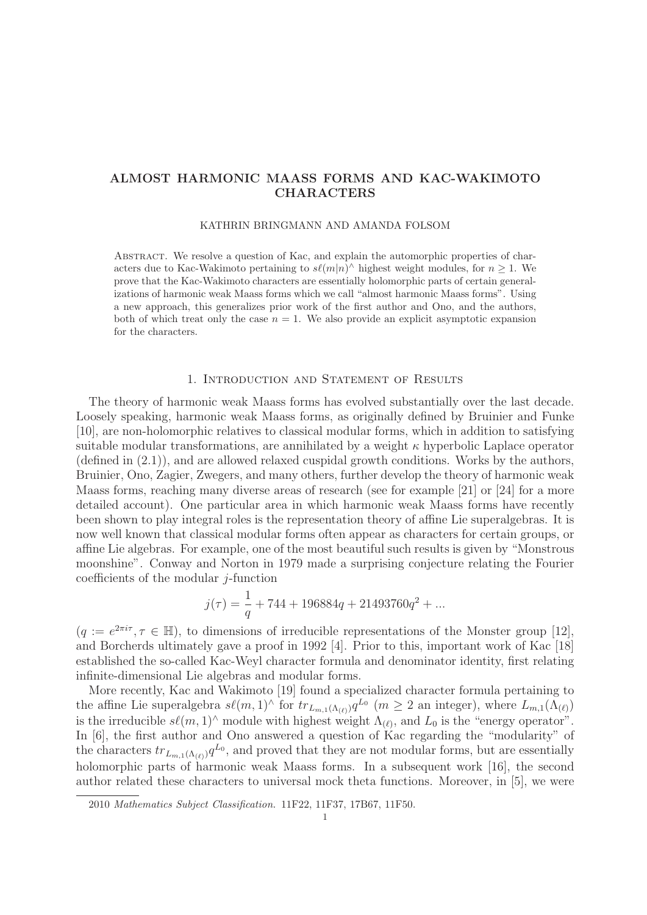# **ALMOST HARMONIC MAASS FORMS AND KAC-WAKIMOTO CHARACTERS**

#### KATHRIN BRINGMANN AND AMANDA FOLSOM

Abstract. We resolve a question of Kac, and explain the automorphic properties of characters due to Kac-Wakimoto pertaining to  $s\ell(m|n)^\wedge$  highest weight modules, for  $n \geq 1$ . We prove that the Kac-Wakimoto characters are essentially holomorphic parts of certain generalizations of harmonic weak Maass forms which we call "almost harmonic Maass forms". Using a new approach, this generalizes prior work of the first author and Ono, and the authors, both of which treat only the case  $n = 1$ . We also provide an explicit asymptotic expansion for the characters.

## 1. Introduction and Statement of Results

The theory of harmonic weak Maass forms has evolved substantially over the last decade. Loosely speaking, harmonic weak Maass forms, as originally defined by Bruinier and Funke [10], are non-holomorphic relatives to classical modular forms, which in addition to satisfying suitable modular transformations, are annihilated by a weight  $\kappa$  hyperbolic Laplace operator (defined in (2.1)), and are allowed relaxed cuspidal growth conditions. Works by the authors, Bruinier, Ono, Zagier, Zwegers, and many others, further develop the theory of harmonic weak Maass forms, reaching many diverse areas of research (see for example [21] or [24] for a more detailed account). One particular area in which harmonic weak Maass forms have recently been shown to play integral roles is the representation theory of affine Lie superalgebras. It is now well known that classical modular forms often appear as characters for certain groups, or affine Lie algebras. For example, one of the most beautiful such results is given by "Monstrous moonshine". Conway and Norton in 1979 made a surprising conjecture relating the Fourier coefficients of the modular  $i$ -function

$$
j(\tau) = \frac{1}{q} + 744 + 196884q + 21493760q^2 + \dots
$$

 $(q := e^{2\pi i \tau}, \tau \in \mathbb{H})$ , to dimensions of irreducible representations of the Monster group [12], and Borcherds ultimately gave a proof in 1992 [4]. Prior to this, important work of Kac [18] established the so-called Kac-Weyl character formula and denominator identity, first relating infinite-dimensional Lie algebras and modular forms.

More recently, Kac and Wakimoto [19] found a specialized character formula pertaining to the affine Lie superalgebra  $s\ell(m,1)$ <sup>^</sup> for  $tr_{L_{m,1}(\Lambda_{(\ell)})}q^{L_0}$   $(m \geq 2$  an integer), where  $L_{m,1}(\Lambda_{(\ell)})$ is the irreducible  $s\ell(m,1)^\wedge$  module with highest weight  $\Lambda_{(\ell)}$ , and  $L_0$  is the "energy operator". In [6], the first author and Ono answered a question of Kac regarding the "modularity" of the characters  $tr_{L_{m,1}(\Lambda_{(\ell)})}q^{L_0}$ , and proved that they are not modular forms, but are essentially holomorphic parts of harmonic weak Maass forms. In a subsequent work [16], the second author related these characters to universal mock theta functions. Moreover, in [5], we were

<sup>2010</sup> Mathematics Subject Classification. 11F22, 11F37, 17B67, 11F50.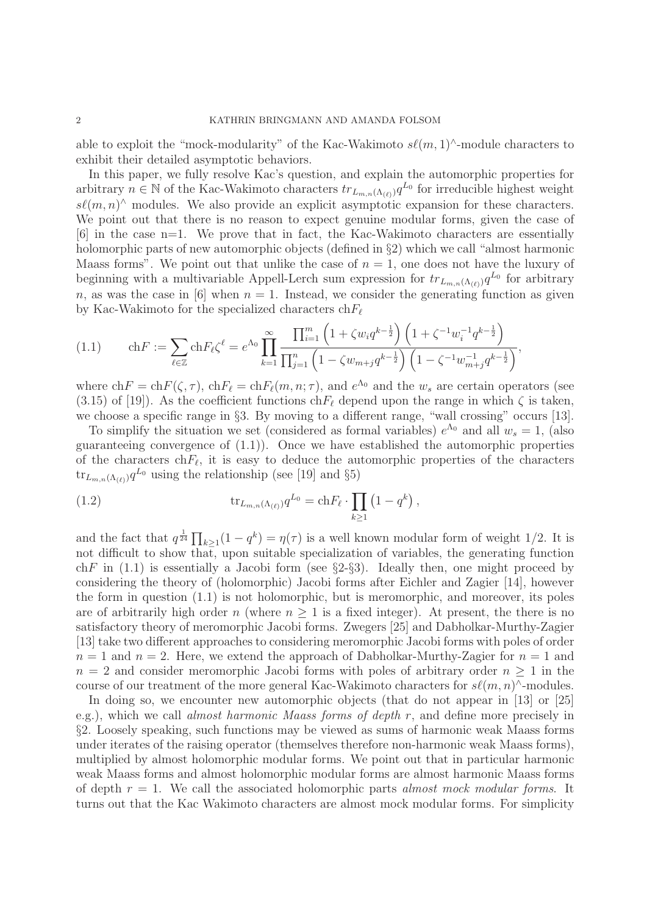able to exploit the "mock-modularity" of the Kac-Wakimoto  $s\ell(m,1)^{\wedge}$ -module characters to exhibit their detailed asymptotic behaviors.

In this paper, we fully resolve Kac's question, and explain the automorphic properties for arbitrary  $n \in \mathbb{N}$  of the Kac-Wakimoto characters  $tr_{L_{m,n}(\Lambda_{(\ell)})} q^{L_0}$  for irreducible highest weight  $s\ell(m,n)$ <sup>∧</sup> modules. We also provide an explicit asymptotic expansion for these characters. We point out that there is no reason to expect genuine modular forms, given the case of [6] in the case n=1. We prove that in fact, the Kac-Wakimoto characters are essentially holomorphic parts of new automorphic objects (defined in §2) which we call "almost harmonic Maass forms". We point out that unlike the case of  $n = 1$ , one does not have the luxury of beginning with a multivariable Appell-Lerch sum expression for  $tr_{L_{m,n}(\Lambda_{(\ell)})}q^{L_0}$  for arbitrary n, as was the case in [6] when  $n = 1$ . Instead, we consider the generating function as given by Kac-Wakimoto for the specialized characters  $chF_{\ell}$ 

$$
(1.1) \qquad \mathrm{ch} F := \sum_{\ell \in \mathbb{Z}} \mathrm{ch} F_{\ell} \zeta^{\ell} = e^{\Lambda_0} \prod_{k=1}^{\infty} \frac{\prod_{i=1}^{m} \left(1 + \zeta w_i q^{k - \frac{1}{2}}\right) \left(1 + \zeta^{-1} w_i^{-1} q^{k - \frac{1}{2}}\right)}{\prod_{j=1}^{n} \left(1 - \zeta w_{m+j} q^{k - \frac{1}{2}}\right) \left(1 - \zeta^{-1} w_{m+j}^{-1} q^{k - \frac{1}{2}}\right)},
$$

where  $\text{ch} F = \text{ch} F(\zeta, \tau)$ ,  $\text{ch} F_{\ell} = \text{ch} F_{\ell}(m, n; \tau)$ , and  $e^{\Lambda_0}$  and the  $w_s$  are certain operators (see (3.15) of [19]). As the coefficient functions ch $F_{\ell}$  depend upon the range in which  $\zeta$  is taken, we choose a specific range in §3. By moving to a different range, "wall crossing" occurs [13].

To simplify the situation we set (considered as formal variables)  $e^{\Lambda_0}$  and all  $w_s = 1$ , (also guaranteeing convergence of (1.1)). Once we have established the automorphic properties of the characters ch $F_{\ell}$ , it is easy to deduce the automorphic properties of the characters  $\text{tr}_{L_{m,n}(\Lambda_{(\ell)})} q^{L_0}$  using the relationship (see [19] and §5)

(1.2) 
$$
\text{tr}_{L_{m,n}(\Lambda_{(\ell)})} q^{L_0} = \text{ch} F_{\ell} \cdot \prod_{k \ge 1} (1 - q^k) ,
$$

and the fact that  $q^{\frac{1}{24}} \prod_{k \geq 1} (1 - q^k) = \eta(\tau)$  is a well known modular form of weight 1/2. It is not difficult to show that, upon suitable specialization of variables, the generating function chF in  $(1.1)$  is essentially a Jacobi form (see  $\S 2-\S 3$ ). Ideally then, one might proceed by considering the theory of (holomorphic) Jacobi forms after Eichler and Zagier [14], however the form in question (1.1) is not holomorphic, but is meromorphic, and moreover, its poles are of arbitrarily high order  $n$  (where  $n \geq 1$  is a fixed integer). At present, the there is no satisfactory theory of meromorphic Jacobi forms. Zwegers [25] and Dabholkar-Murthy-Zagier [13] take two different approaches to considering meromorphic Jacobi forms with poles of order  $n = 1$  and  $n = 2$ . Here, we extend the approach of Dabholkar-Murthy-Zagier for  $n = 1$  and  $n = 2$  and consider meromorphic Jacobi forms with poles of arbitrary order  $n \geq 1$  in the course of our treatment of the more general Kac-Wakimoto characters for  $s\ell(m, n)$ ^-modules.

In doing so, we encounter new automorphic objects (that do not appear in [13] or [25] e.g.), which we call almost harmonic Maass forms of depth r, and define more precisely in §2. Loosely speaking, such functions may be viewed as sums of harmonic weak Maass forms under iterates of the raising operator (themselves therefore non-harmonic weak Maass forms), multiplied by almost holomorphic modular forms. We point out that in particular harmonic weak Maass forms and almost holomorphic modular forms are almost harmonic Maass forms of depth  $r = 1$ . We call the associated holomorphic parts almost mock modular forms. It turns out that the Kac Wakimoto characters are almost mock modular forms. For simplicity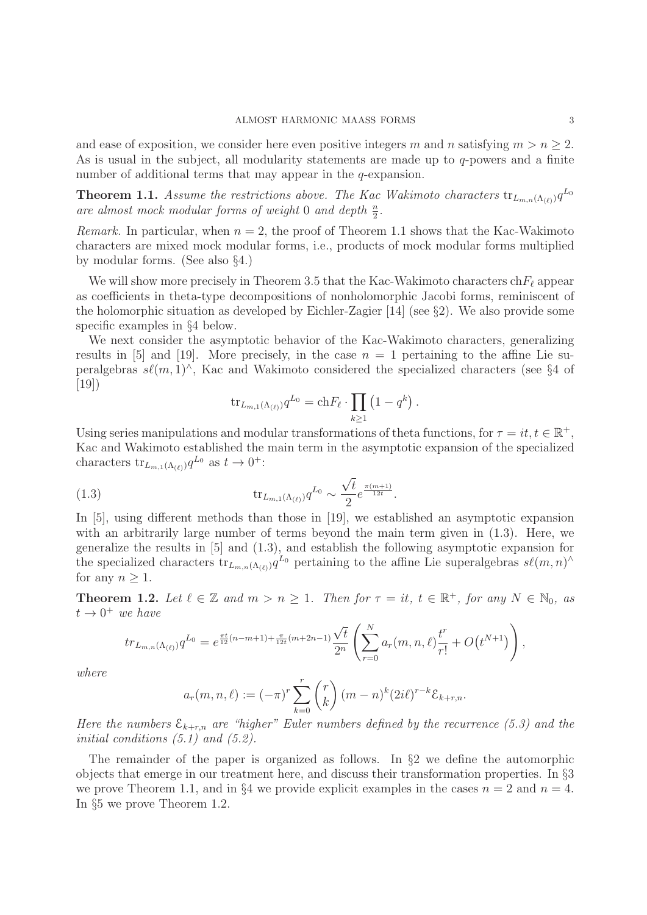and ease of exposition, we consider here even positive integers m and n satisfying  $m>n\geq 2$ . As is usual in the subject, all modularity statements are made up to  $q$ -powers and a finite number of additional terms that may appear in the q-expansion.

**Theorem 1.1.** Assume the restrictions above. The Kac Wakimoto characters  $tr_{L_{m,n}(\Lambda_{(\ell)})}q^{L_0}$ are almost mock modular forms of weight 0 and depth  $\frac{n}{2}$ .

*Remark.* In particular, when  $n = 2$ , the proof of Theorem 1.1 shows that the Kac-Wakimoto characters are mixed mock modular forms, i.e., products of mock modular forms multiplied by modular forms. (See also §4.)

We will show more precisely in Theorem 3.5 that the Kac-Wakimoto characters  $chF_\ell$  appear as coefficients in theta-type decompositions of nonholomorphic Jacobi forms, reminiscent of the holomorphic situation as developed by Eichler-Zagier [14] (see §2). We also provide some specific examples in §4 below.

We next consider the asymptotic behavior of the Kac-Wakimoto characters, generalizing results in [5] and [19]. More precisely, in the case  $n = 1$  pertaining to the affine Lie superalgebras  $s\ell(m,1)^\wedge$ , Kac and Wakimoto considered the specialized characters (see §4 of [19])

$$
\operatorname{tr}_{L_{m,1}(\Lambda_{(\ell)})} q^{L_0} = \operatorname{ch} F_{\ell} \cdot \prod_{k \ge 1} \left( 1 - q^k \right).
$$

Using series manipulations and modular transformations of theta functions, for  $\tau = it, t \in \mathbb{R}^+$ , Kac and Wakimoto established the main term in the asymptotic expansion of the specialized characters  $\text{tr}_{L_{m,1}(\Lambda_{(\ell)})} q^{L_0}$  as  $t \to 0^+$ :

(1.3) 
$$
\text{tr}_{L_{m,1}(\Lambda_{(\ell)})} q^{L_0} \sim \frac{\sqrt{t}}{2} e^{\frac{\pi (m+1)}{12t}}.
$$

In [5], using different methods than those in [19], we established an asymptotic expansion with an arbitrarily large number of terms beyond the main term given in  $(1.3)$ . Here, we generalize the results in [5] and (1.3), and establish the following asymptotic expansion for the specialized characters  $tr_{L_{m,n}(\Lambda_{(\ell)})}q^{L_0}$  pertaining to the affine Lie superalgebras  $s\ell(m,n)^\wedge$ for any  $n > 1$ .

**Theorem 1.2.** Let  $\ell \in \mathbb{Z}$  and  $m > n \geq 1$ . Then for  $\tau = it$ ,  $t \in \mathbb{R}^+$ , for any  $N \in \mathbb{N}_0$ , as  $t \rightarrow 0^+$  we have

$$
tr_{L_{m,n}(\Lambda_{(\ell)})} q^{L_0} = e^{\frac{\pi t}{12}(n-m+1) + \frac{\pi}{12t}(m+2n-1)} \frac{\sqrt{t}}{2^n} \left( \sum_{r=0}^N a_r(m,n,\ell) \frac{t^r}{r!} + O(t^{N+1}) \right),
$$

where

$$
a_r(m, n, \ell) := (-\pi)^r \sum_{k=0}^r {r \choose k} (m-n)^k (2i\ell)^{r-k} \mathcal{E}_{k+r,n}.
$$

Here the numbers  $\mathcal{E}_{k+r,n}$  are "higher" Euler numbers defined by the recurrence (5.3) and the initial conditions  $(5.1)$  and  $(5.2)$ .

The remainder of the paper is organized as follows. In §2 we define the automorphic objects that emerge in our treatment here, and discuss their transformation properties. In §3 we prove Theorem 1.1, and in §4 we provide explicit examples in the cases  $n = 2$  and  $n = 4$ . In §5 we prove Theorem 1.2.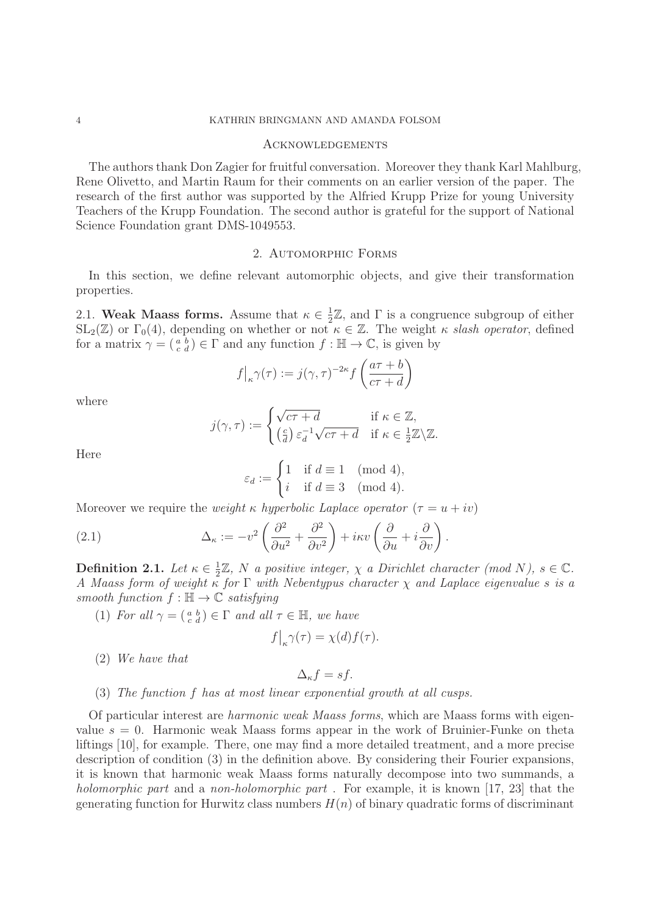#### 4 KATHRIN BRINGMANN AND AMANDA FOLSOM

#### Acknowledgements

The authors thank Don Zagier for fruitful conversation. Moreover they thank Karl Mahlburg, Rene Olivetto, and Martin Raum for their comments on an earlier version of the paper. The research of the first author was supported by the Alfried Krupp Prize for young University Teachers of the Krupp Foundation. The second author is grateful for the support of National Science Foundation grant DMS-1049553.

### 2. AUTOMORPHIC FORMS

In this section, we define relevant automorphic objects, and give their transformation properties.

2.1. **Weak Maass forms.** Assume that  $\kappa \in \frac{1}{2}\mathbb{Z}$ , and  $\Gamma$  is a congruence subgroup of either  $SL_2(\mathbb{Z})$  or  $\Gamma_0(4)$ , depending on whether or not  $\kappa \in \mathbb{Z}$ . The weight  $\kappa$  slash operator, defined for a matrix  $\gamma = \begin{pmatrix} a & b \\ c & d \end{pmatrix} \in \Gamma$  and any function  $f : \mathbb{H} \to \mathbb{C}$ , is given by

$$
f\big|_{\kappa}\gamma(\tau) := j(\gamma,\tau)^{-2\kappa} f\left(\frac{a\tau + b}{c\tau + d}\right)
$$

where

$$
j(\gamma, \tau) := \begin{cases} \sqrt{c\tau + d} & \text{if } \kappa \in \mathbb{Z}, \\ \left(\frac{c}{d}\right) \varepsilon_d^{-1} \sqrt{c\tau + d} & \text{if } \kappa \in \frac{1}{2}\mathbb{Z} \backslash \mathbb{Z}. \end{cases}
$$

Here

$$
\varepsilon_d:=\begin{cases}1 & \text{if } d\equiv 1\pmod{4},\\ i & \text{if } d\equiv 3\pmod{4}.\end{cases}
$$

Moreover we require the *weight*  $\kappa$  *hyperbolic Laplace operator*  $(\tau = u + iv)$ 

(2.1) 
$$
\Delta_{\kappa} := -v^2 \left( \frac{\partial^2}{\partial u^2} + \frac{\partial^2}{\partial v^2} \right) + i\kappa v \left( \frac{\partial}{\partial u} + i \frac{\partial}{\partial v} \right).
$$

**Definition 2.1.** Let  $\kappa \in \frac{1}{2}\mathbb{Z}$ , N a positive integer,  $\chi$  a Dirichlet character (mod N),  $s \in \mathbb{C}$ . A Maass form of weight  $\kappa$  for  $\Gamma$  with Nebentypus character  $\chi$  and Laplace eigenvalue s is a smooth function  $f : \mathbb{H} \to \mathbb{C}$  satisfying

(1) For all  $\gamma = \begin{pmatrix} a & b \\ c & d \end{pmatrix} \in \Gamma$  and all  $\tau \in \mathbb{H}$ , we have

$$
f|_{\kappa} \gamma(\tau) = \chi(d) f(\tau).
$$

(2) We have that

$$
\Delta_{\kappa} f = s f.
$$

## (3) The function f has at most linear exponential growth at all cusps.

Of particular interest are harmonic weak Maass forms, which are Maass forms with eigenvalue  $s = 0$ . Harmonic weak Maass forms appear in the work of Bruinier-Funke on theta liftings [10], for example. There, one may find a more detailed treatment, and a more precise description of condition (3) in the definition above. By considering their Fourier expansions, it is known that harmonic weak Maass forms naturally decompose into two summands, a holomorphic part and a non-holomorphic part. For example, it is known [17, 23] that the generating function for Hurwitz class numbers  $H(n)$  of binary quadratic forms of discriminant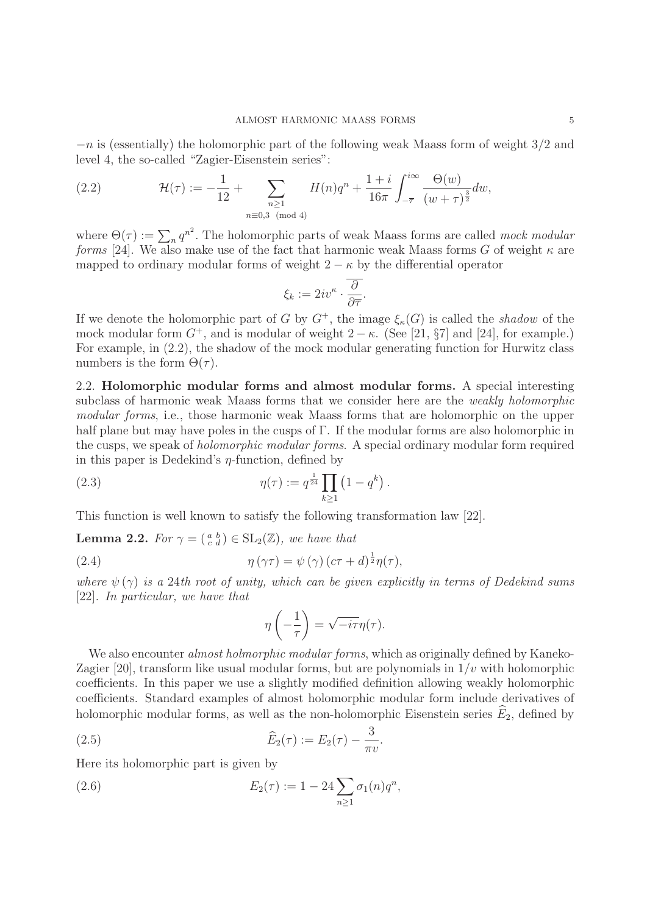$-n$  is (essentially) the holomorphic part of the following weak Maass form of weight  $3/2$  and level 4, the so-called "Zagier-Eisenstein series":

(2.2) 
$$
\mathcal{H}(\tau) := -\frac{1}{12} + \sum_{\substack{n \geq 1 \\ n \equiv 0,3 \pmod{4}}} H(n)q^n + \frac{1+i}{16\pi} \int_{-\overline{\tau}}^{i\infty} \frac{\Theta(w)}{(w+\tau)^{\frac{3}{2}}} dw,
$$

where  $\Theta(\tau) := \sum_n q^{n^2}$ . The holomorphic parts of weak Maass forms are called mock modular forms [24]. We also make use of the fact that harmonic weak Maass forms G of weight  $\kappa$  are mapped to ordinary modular forms of weight  $2 - \kappa$  by the differential operator

$$
\xi_k := 2iv^{\kappa} \cdot \overline{\frac{\partial}{\partial \overline{\tau}}}.
$$

If we denote the holomorphic part of G by  $G^+$ , the image  $\xi_{\kappa}(G)$  is called the shadow of the mock modular form  $G^+$ , and is modular of weight  $2 - \kappa$ . (See [21, §7] and [24], for example.) For example, in (2.2), the shadow of the mock modular generating function for Hurwitz class numbers is the form  $\Theta(\tau)$ .

2.2. **Holomorphic modular forms and almost modular forms.** A special interesting subclass of harmonic weak Maass forms that we consider here are the weakly holomorphic modular forms, i.e., those harmonic weak Maass forms that are holomorphic on the upper half plane but may have poles in the cusps of Γ. If the modular forms are also holomorphic in the cusps, we speak of holomorphic modular forms. A special ordinary modular form required in this paper is Dedekind's  $\eta$ -function, defined by

(2.3) 
$$
\eta(\tau) := q^{\frac{1}{24}} \prod_{k \ge 1} (1 - q^k).
$$

This function is well known to satisfy the following transformation law [22].

**Lemma 2.2.** For  $\gamma = \begin{pmatrix} a & b \\ c & d \end{pmatrix} \in SL_2(\mathbb{Z})$ , we have that

(2.4) 
$$
\eta(\gamma \tau) = \psi(\gamma) (c\tau + d)^{\frac{1}{2}} \eta(\tau),
$$

where  $\psi(\gamma)$  is a 24th root of unity, which can be given explicitly in terms of Dedekind sums [22]. In particular, we have that

$$
\eta\left(-\frac{1}{\tau}\right) = \sqrt{-i\tau}\eta(\tau).
$$

We also encounter *almost holmorphic modular forms*, which as originally defined by Kaneko-Zagier [20], transform like usual modular forms, but are polynomials in  $1/v$  with holomorphic coefficients. In this paper we use a slightly modified definition allowing weakly holomorphic coefficients. Standard examples of almost holomorphic modular form include derivatives of holomorphic modular forms, as well as the non-holomorphic Eisenstein series  $\hat{E}_2$ , defined by

(2.5) 
$$
\widehat{E}_2(\tau) := E_2(\tau) - \frac{3}{\pi v}.
$$

Here its holomorphic part is given by

(2.6) 
$$
E_2(\tau) := 1 - 24 \sum_{n \ge 1} \sigma_1(n) q^n,
$$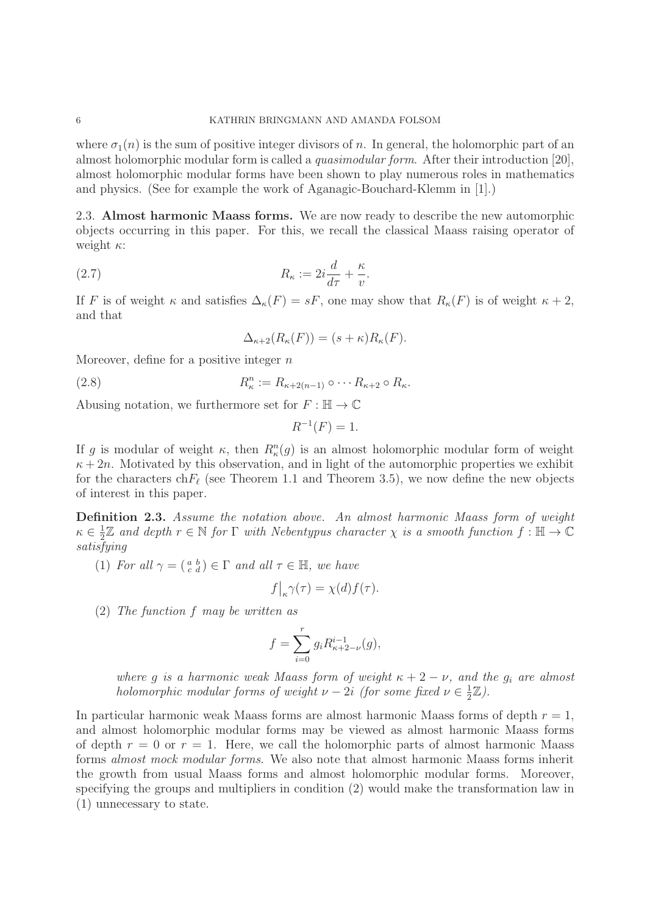where  $\sigma_1(n)$  is the sum of positive integer divisors of n. In general, the holomorphic part of an almost holomorphic modular form is called a quasimodular form. After their introduction [20], almost holomorphic modular forms have been shown to play numerous roles in mathematics and physics. (See for example the work of Aganagic-Bouchard-Klemm in [1].)

2.3. **Almost harmonic Maass forms.** We are now ready to describe the new automorphic objects occurring in this paper. For this, we recall the classical Maass raising operator of weight  $\kappa$ :

(2.7) 
$$
R_{\kappa} := 2i\frac{d}{d\tau} + \frac{\kappa}{v}.
$$

If F is of weight  $\kappa$  and satisfies  $\Delta_{\kappa}(F) = sF$ , one may show that  $R_{\kappa}(F)$  is of weight  $\kappa + 2$ , and that

$$
\Delta_{\kappa+2}(R_{\kappa}(F)) = (s+\kappa)R_{\kappa}(F).
$$

Moreover, define for a positive integer  $n$ 

(2.8) 
$$
R_{\kappa}^n := R_{\kappa+2(n-1)} \circ \cdots R_{\kappa+2} \circ R_{\kappa}.
$$

Abusing notation, we furthermore set for  $F : \mathbb{H} \to \mathbb{C}$ 

$$
R^{-1}(F) = 1.
$$

If g is modular of weight  $\kappa$ , then  $R_k^n(g)$  is an almost holomorphic modular form of weight  $\kappa + 2n$ . Motivated by this observation, and in light of the automorphic properties we exhibit for the characters ch $F_{\ell}$  (see Theorem 1.1 and Theorem 3.5), we now define the new objects of interest in this paper.

**Definition 2.3.** Assume the notation above. An almost harmonic Maass form of weight  $\kappa \in \frac{1}{2}\mathbb{Z}$  and depth  $r \in \mathbb{N}$  for  $\Gamma$  with Nebentypus character  $\chi$  is a smooth function  $f : \mathbb{H} \to \mathbb{C}$ satisfying

(1) For all  $\gamma = \begin{pmatrix} a & b \\ c & d \end{pmatrix} \in \Gamma$  and all  $\tau \in \mathbb{H}$ , we have

$$
f\big|_{\kappa}\gamma(\tau) = \chi(d)f(\tau).
$$

(2) The function f may be written as

$$
f = \sum_{i=0}^{r} g_i R_{\kappa+2-\nu}^{i-1}(g),
$$

where g is a harmonic weak Maass form of weight  $\kappa + 2 - \nu$ , and the  $g_i$  are almost holomorphic modular forms of weight  $\nu - 2i$  (for some fixed  $\nu \in \frac{1}{2}\mathbb{Z}$ ).

In particular harmonic weak Maass forms are almost harmonic Maass forms of depth  $r = 1$ , and almost holomorphic modular forms may be viewed as almost harmonic Maass forms of depth  $r = 0$  or  $r = 1$ . Here, we call the holomorphic parts of almost harmonic Maass forms almost mock modular forms. We also note that almost harmonic Maass forms inherit the growth from usual Maass forms and almost holomorphic modular forms. Moreover, specifying the groups and multipliers in condition (2) would make the transformation law in (1) unnecessary to state.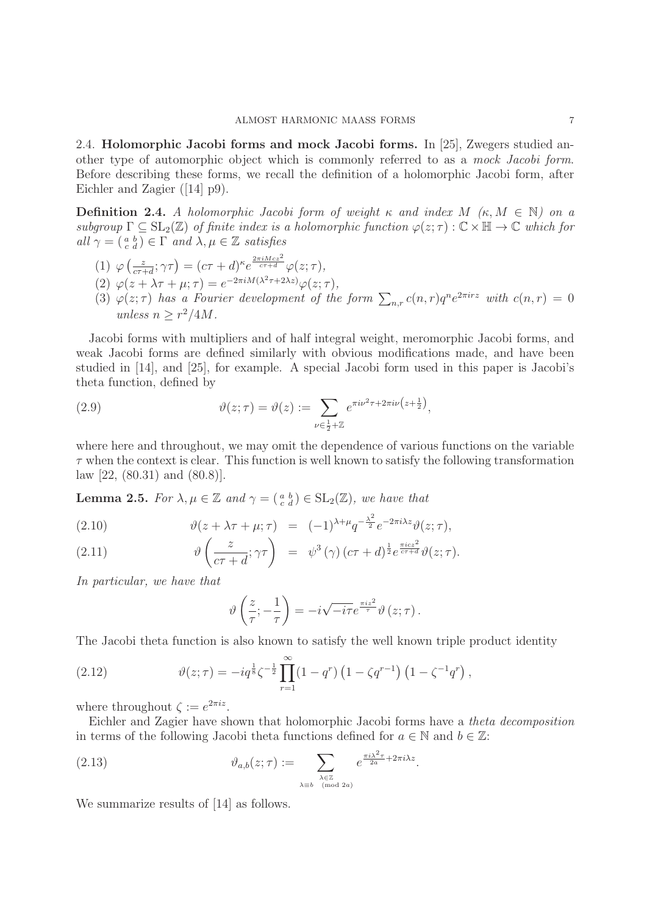2.4. **Holomorphic Jacobi forms and mock Jacobi forms.** In [25], Zwegers studied another type of automorphic object which is commonly referred to as a mock Jacobi form. Before describing these forms, we recall the definition of a holomorphic Jacobi form, after Eichler and Zagier ([14] p9).

**Definition 2.4.** A holomorphic Jacobi form of weight  $\kappa$  and index  $M$  ( $\kappa$ ,  $M \in \mathbb{N}$ ) on a subgroup  $\Gamma \subseteq SL_2(\mathbb{Z})$  of finite index is a holomorphic function  $\varphi(z;\tau) : \mathbb{C} \times \mathbb{H} \to \mathbb{C}$  which for all  $\gamma = \begin{pmatrix} a & b \\ c & d \end{pmatrix} \in \Gamma$  and  $\lambda, \mu \in \mathbb{Z}$  satisfies

- (1)  $\varphi\left(\frac{z}{c\tau+d};\gamma\tau\right) = (c\tau+d)^{\kappa}e^{\frac{2\pi i Mcz^2}{c\tau+d}}\varphi(z;\tau),$
- (2)  $\varphi(z + \lambda \tau + \mu; \tau) = e^{-2\pi i M(\lambda^2 \tau + 2\lambda z)} \varphi(z;\tau),$
- (3)  $\varphi(z;\tau)$  has a Fourier development of the form  $\sum_{n,r} c(n,r)q^n e^{2\pi irz}$  with  $c(n,r)=0$ unless  $n > r^2/4M$ .

Jacobi forms with multipliers and of half integral weight, meromorphic Jacobi forms, and weak Jacobi forms are defined similarly with obvious modifications made, and have been studied in [14], and [25], for example. A special Jacobi form used in this paper is Jacobi's theta function, defined by

(2.9) 
$$
\vartheta(z;\tau) = \vartheta(z) := \sum_{\nu \in \frac{1}{2} + \mathbb{Z}} e^{\pi i \nu^2 \tau + 2\pi i \nu (z + \frac{1}{2})},
$$

where here and throughout, we may omit the dependence of various functions on the variable  $\tau$  when the context is clear. This function is well known to satisfy the following transformation  $\text{law}$  [22, (80.31) and (80.8)].

**Lemma 2.5.** For  $\lambda, \mu \in \mathbb{Z}$  and  $\gamma = \begin{pmatrix} a & b \\ c & d \end{pmatrix} \in SL_2(\mathbb{Z})$ , we have that

(2.10) 
$$
\vartheta(z + \lambda \tau + \mu; \tau) = (-1)^{\lambda + \mu} q^{-\frac{\lambda^2}{2}} e^{-2\pi i \lambda z} \vartheta(z; \tau),
$$

(2.11) 
$$
\vartheta\left(\frac{z}{c\tau+d};\gamma\tau\right) = \psi^3(\gamma)(c\tau+d)^{\frac{1}{2}}e^{\frac{\pi icz^2}{c\tau+d}}\vartheta(z;\tau).
$$

In particular, we have that

$$
\vartheta\left(\frac{z}{\tau};-\frac{1}{\tau}\right)=-i\sqrt{-i\tau}e^{\frac{\pi i z^2}{\tau}}\vartheta\left(z;\tau\right).
$$

The Jacobi theta function is also known to satisfy the well known triple product identity

(2.12) 
$$
\vartheta(z;\tau) = -iq^{\frac{1}{8}}\zeta^{-\frac{1}{2}}\prod_{r=1}^{\infty}(1-q^r)\left(1-\zeta q^{r-1}\right)\left(1-\zeta^{-1}q^r\right),
$$

where throughout  $\zeta := e^{2\pi i z}$ .

Eichler and Zagier have shown that holomorphic Jacobi forms have a theta decomposition in terms of the following Jacobi theta functions defined for  $a \in \mathbb{N}$  and  $b \in \mathbb{Z}$ :

(2.13) 
$$
\vartheta_{a,b}(z;\tau) := \sum_{\substack{\lambda \in \mathbb{Z} \\ \lambda \equiv b \pmod{2a}}} e^{\frac{\pi i \lambda^2 \tau}{2a} + 2\pi i \lambda z}.
$$

We summarize results of [14] as follows.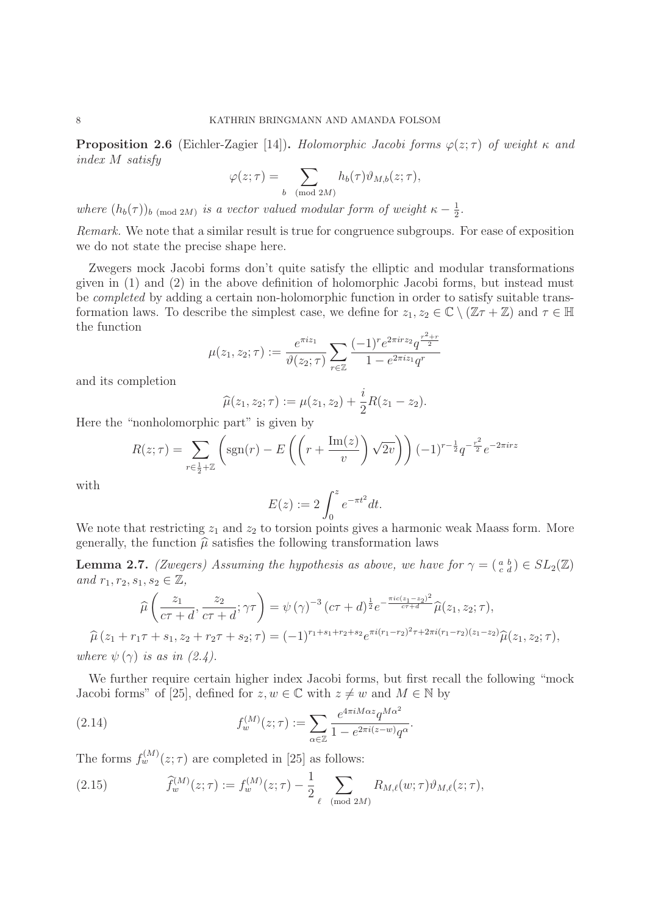**Proposition 2.6** (Eichler-Zagier [14]). Holomorphic Jacobi forms  $\varphi(z;\tau)$  of weight  $\kappa$  and index M satisfy

$$
\varphi(z;\tau) = \sum_{b \pmod{2M}} h_b(\tau) \vartheta_{M,b}(z;\tau),
$$

where  $(h_b(\tau))_{b \pmod{2M}}$  is a vector valued modular form of weight  $\kappa - \frac{1}{2}$ .

Remark. We note that a similar result is true for congruence subgroups. For ease of exposition we do not state the precise shape here.

Zwegers mock Jacobi forms don't quite satisfy the elliptic and modular transformations given in (1) and (2) in the above definition of holomorphic Jacobi forms, but instead must be completed by adding a certain non-holomorphic function in order to satisfy suitable transformation laws. To describe the simplest case, we define for  $z_1, z_2 \in \mathbb{C} \setminus (\mathbb{Z} \tau + \mathbb{Z})$  and  $\tau \in \mathbb{H}$ the function

$$
\mu(z_1, z_2; \tau) := \frac{e^{\pi i z_1}}{\vartheta(z_2; \tau)} \sum_{r \in \mathbb{Z}} \frac{(-1)^r e^{2\pi i rz_2} q^{\frac{r^2 + r}{2}}}{1 - e^{2\pi i z_1} q^r}
$$

and its completion

$$
\widehat{\mu}(z_1, z_2; \tau) := \mu(z_1, z_2) + \frac{i}{2}R(z_1 - z_2).
$$

Here the "nonholomorphic part" is given by

$$
R(z; \tau) = \sum_{r \in \frac{1}{2} + \mathbb{Z}} \left( \text{sgn}(r) - E\left( \left( r + \frac{\text{Im}(z)}{v} \right) \sqrt{2v} \right) \right) (-1)^{r - \frac{1}{2}} q^{-\frac{r^2}{2}} e^{-2\pi i rz}
$$

with

$$
E(z) := 2 \int_0^z e^{-\pi t^2} dt.
$$

We note that restricting  $z_1$  and  $z_2$  to torsion points gives a harmonic weak Maass form. More generally, the function  $\hat{\mu}$  satisfies the following transformation laws

**Lemma 2.7.** (Zwegers) Assuming the hypothesis as above, we have for  $\gamma = \begin{pmatrix} a & b \\ c & d \end{pmatrix} \in SL_2(\mathbb{Z})$ and  $r_1, r_2, s_1, s_2 \in \mathbb{Z}$ ,

$$
\widehat{\mu}\left(\frac{z_1}{c\tau+d},\frac{z_2}{c\tau+d};\gamma\tau\right) = \psi(\gamma)^{-3} (c\tau+d)^{\frac{1}{2}} e^{-\frac{\pi ic(z_1-z_2)^2}{c\tau+d}} \widehat{\mu}(z_1,z_2;\tau),
$$
  

$$
\widehat{\mu}(z_1+r_1\tau+s_1,z_2+r_2\tau+s_2;\tau) = (-1)^{r_1+s_1+r_2+s_2} e^{\pi i (r_1-r_2)^2\tau+2\pi i (r_1-r_2)(z_1-z_2)} \widehat{\mu}(z_1,z_2;\tau),
$$

where  $\psi(\gamma)$  is as in (2.4).

We further require certain higher index Jacobi forms, but first recall the following "mock Jacobi forms" of [25], defined for  $z, w \in \mathbb{C}$  with  $z \neq w$  and  $M \in \mathbb{N}$  by

(2.14) 
$$
f_w^{(M)}(z;\tau) := \sum_{\alpha \in \mathbb{Z}} \frac{e^{4\pi i M \alpha z} q^{M\alpha^2}}{1 - e^{2\pi i (z-w)} q^{\alpha}}.
$$

The forms  $f_w^{(M)}(z;\tau)$  are completed in [25] as follows:

(2.15) 
$$
\widehat{f}_w^{(M)}(z;\tau) := f_w^{(M)}(z;\tau) - \frac{1}{2} \sum_{\ell \pmod{2M}} R_{M,\ell}(w;\tau) \vartheta_{M,\ell}(z;\tau),
$$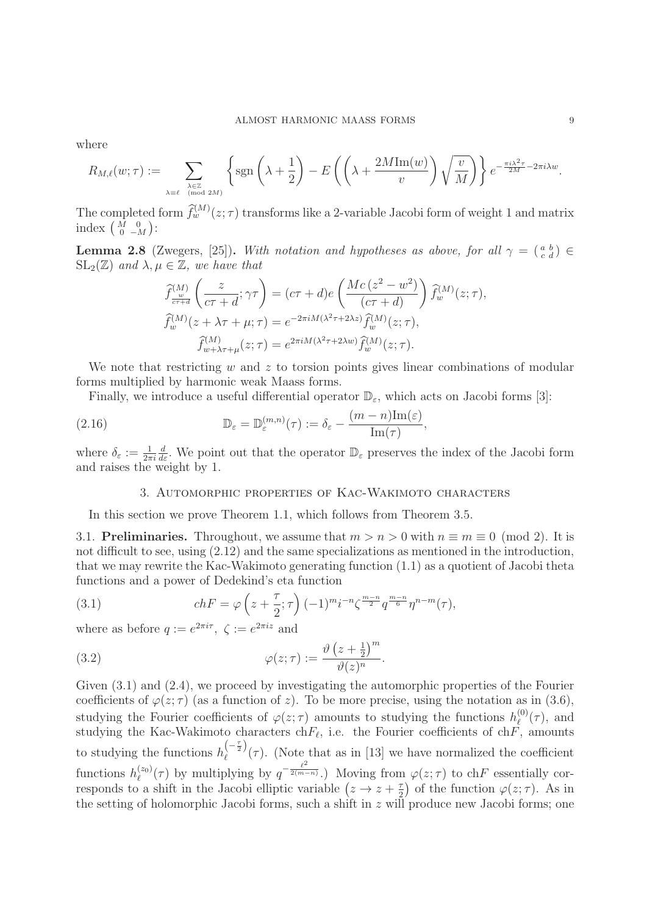where

$$
R_{M,\ell}(w;\tau) := \sum_{\substack{\lambda \in \mathbb{Z} \\ \lambda \equiv \ell \pmod{2M}}} \left\{ \text{sgn}\left(\lambda + \frac{1}{2}\right) - E\left(\left(\lambda + \frac{2M\text{Im}(w)}{v}\right)\sqrt{\frac{v}{M}}\right) \right\} e^{-\frac{\pi i \lambda^2 \tau}{2M} - 2\pi i \lambda w}.
$$

The completed form  $\hat{f}_{w}^{(M)}(z;\tau)$  transforms like a 2-variable Jacobi form of weight 1 and matrix index  $\begin{pmatrix} \overline{M} & 0 \\ 0 & -M \end{pmatrix}$ :

**Lemma 2.8** (Zwegers, [25]). With notation and hypotheses as above, for all  $\gamma = \begin{pmatrix} a & b \\ c & d \end{pmatrix} \in$  $SL_2(\mathbb{Z})$  and  $\lambda, \mu \in \mathbb{Z}$ , we have that

$$
\begin{aligned}\n\widehat{f}_{\frac{w}{c\tau+d}}^{(M)} \left( \frac{z}{c\tau+d}; \gamma \tau \right) &= (c\tau+d)e \left( \frac{Mc \left( z^2 - w^2 \right)}{(c\tau+d)} \right) \widehat{f}_w^{(M)}(z;\tau), \\
\widehat{f}_w^{(M)}(z + \lambda \tau + \mu; \tau) &= e^{-2\pi i M(\lambda^2 \tau + 2\lambda z)} \widehat{f}_w^{(M)}(z;\tau), \\
\widehat{f}_{w + \lambda \tau + \mu}^{(M)}(z;\tau) &= e^{2\pi i M(\lambda^2 \tau + 2\lambda w)} \widehat{f}_w^{(M)}(z;\tau).\n\end{aligned}
$$

We note that restricting w and z to torsion points gives linear combinations of modular forms multiplied by harmonic weak Maass forms.

Finally, we introduce a useful differential operator  $\mathbb{D}_{\varepsilon}$ , which acts on Jacobi forms [3]:

(2.16) 
$$
\mathbb{D}_{\varepsilon} = \mathbb{D}_{\varepsilon}^{(m,n)}(\tau) := \delta_{\varepsilon} - \frac{(m-n)\mathrm{Im}(\varepsilon)}{\mathrm{Im}(\tau)},
$$

where  $\delta_{\varepsilon} := \frac{1}{2\pi i}$  $\frac{d}{d\varepsilon}$ . We point out that the operator  $\mathbb{D}_{\varepsilon}$  preserves the index of the Jacobi form and raises the weight by 1.

# 3. Automorphic properties of Kac-Wakimoto characters

In this section we prove Theorem 1.1, which follows from Theorem 3.5.

3.1. **Preliminaries.** Throughout, we assume that  $m > n > 0$  with  $n \equiv m \equiv 0 \pmod{2}$ . It is not difficult to see, using (2.12) and the same specializations as mentioned in the introduction, that we may rewrite the Kac-Wakimoto generating function (1.1) as a quotient of Jacobi theta functions and a power of Dedekind's eta function

(3.1) 
$$
chF = \varphi \left( z + \frac{\tau}{2}; \tau \right) (-1)^m i^{-n} \zeta^{\frac{m-n}{2}} q^{\frac{m-n}{6}} \eta^{n-m}(\tau),
$$

where as before  $q := e^{2\pi i \tau}$ ,  $\zeta := e^{2\pi i z}$  and

(3.2) 
$$
\varphi(z;\tau) := \frac{\vartheta\left(z+\frac{1}{2}\right)^m}{\vartheta(z)^n}.
$$

Given  $(3.1)$  and  $(2.4)$ , we proceed by investigating the automorphic properties of the Fourier coefficients of  $\varphi(z;\tau)$  (as a function of z). To be more precise, using the notation as in (3.6), studying the Fourier coefficients of  $\varphi(z;\tau)$  amounts to studying the functions  $h_{\ell}^{(0)}(\tau)$ , and studying the Kac-Wakimoto characters ch $F_{\ell}$ , i.e. the Fourier coefficients of ch $\tilde{F}_{\ell}$ , amounts to studying the functions  $h_{\ell}^{(-\frac{\tau}{2})}(\tau)$ . (Note that as in [13] we have normalized the coefficient functions  $h_{\ell}^{(z_0)}(\tau)$  by multiplying by  $q^{-\frac{\ell^2}{2(m-n)}}$ .) Moving from  $\varphi(z;\tau)$  to ch $F$  essentially corresponds to a shift in the Jacobi elliptic variable  $(z \to z + \frac{\tau}{2})$  of the function  $\varphi(z;\tau)$ . As in the setting of holomorphic Jacobi forms, such a shift in  $z$  will produce new Jacobi forms; one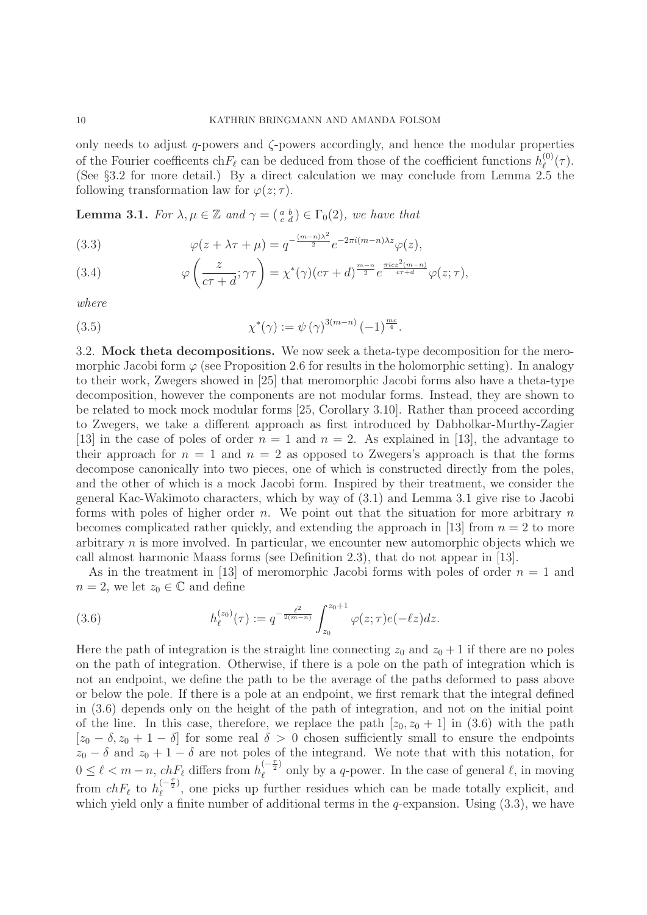only needs to adjust  $q$ -powers and  $\zeta$ -powers accordingly, and hence the modular properties of the Fourier coefficents ch $F_{\ell}$  can be deduced from those of the coefficient functions  $h_{\ell}^{(0)}(\tau)$ . (See §3.2 for more detail.) By a direct calculation we may conclude from Lemma 2.5 the following transformation law for  $\varphi(z;\tau)$ .

**Lemma 3.1.** For  $\lambda, \mu \in \mathbb{Z}$  and  $\gamma = \begin{pmatrix} a & b \\ c & d \end{pmatrix} \in \Gamma_0(2)$ , we have that

(3.3) 
$$
\varphi(z+\lambda\tau+\mu) = q^{-\frac{(m-n)\lambda^2}{2}}e^{-2\pi i(m-n)\lambda z}\varphi(z),
$$

(3.4) 
$$
\varphi\left(\frac{z}{c\tau+d};\gamma\tau\right) = \chi^*(\gamma)(c\tau+d)^{\frac{m-n}{2}}e^{\frac{\pi icz^2(m-n)}{c\tau+d}}\varphi(z;\tau),
$$

where

(3.5) 
$$
\chi^*(\gamma) := \psi(\gamma)^{3(m-n)} (-1)^{\frac{mc}{4}}.
$$

3.2. **Mock theta decompositions.** We now seek a theta-type decomposition for the meromorphic Jacobi form  $\varphi$  (see Proposition 2.6 for results in the holomorphic setting). In analogy to their work, Zwegers showed in [25] that meromorphic Jacobi forms also have a theta-type decomposition, however the components are not modular forms. Instead, they are shown to be related to mock mock modular forms [25, Corollary 3.10]. Rather than proceed according to Zwegers, we take a different approach as first introduced by Dabholkar-Murthy-Zagier [13] in the case of poles of order  $n = 1$  and  $n = 2$ . As explained in [13], the advantage to their approach for  $n = 1$  and  $n = 2$  as opposed to Zwegers's approach is that the forms decompose canonically into two pieces, one of which is constructed directly from the poles, and the other of which is a mock Jacobi form. Inspired by their treatment, we consider the general Kac-Wakimoto characters, which by way of (3.1) and Lemma 3.1 give rise to Jacobi forms with poles of higher order n. We point out that the situation for more arbitrary  $n$ becomes complicated rather quickly, and extending the approach in [13] from  $n = 2$  to more arbitrary  $n$  is more involved. In particular, we encounter new automorphic objects which we call almost harmonic Maass forms (see Definition 2.3), that do not appear in [13].

As in the treatment in [13] of meromorphic Jacobi forms with poles of order  $n = 1$  and  $n = 2$ , we let  $z_0 \in \mathbb{C}$  and define

(3.6) 
$$
h_{\ell}^{(z_0)}(\tau) := q^{-\frac{\ell^2}{2(m-n)}} \int_{z_0}^{z_0+1} \varphi(z;\tau) e(-\ell z) dz.
$$

Here the path of integration is the straight line connecting  $z_0$  and  $z_0 + 1$  if there are no poles on the path of integration. Otherwise, if there is a pole on the path of integration which is not an endpoint, we define the path to be the average of the paths deformed to pass above or below the pole. If there is a pole at an endpoint, we first remark that the integral defined in (3.6) depends only on the height of the path of integration, and not on the initial point of the line. In this case, therefore, we replace the path  $[z_0, z_0 + 1]$  in (3.6) with the path  $[z_0 - \delta, z_0 + 1 - \delta]$  for some real  $\delta > 0$  chosen sufficiently small to ensure the endpoints  $z_0 - \delta$  and  $z_0 + 1 - \delta$  are not poles of the integrand. We note that with this notation, for  $0 \leq \ell < m-n$ ,  $ch_{\ell}F_{\ell}$  differs from  $h_{\ell}^{(-\frac{\tau}{2})}$  only by a q-power. In the case of general  $\ell$ , in moving from  $chF_{\ell}$  to  $h_{\ell}^{(-\frac{\tau}{2})}$ , one picks up further residues which can be made totally explicit, and which yield only a finite number of additional terms in the q-expansion. Using  $(3.3)$ , we have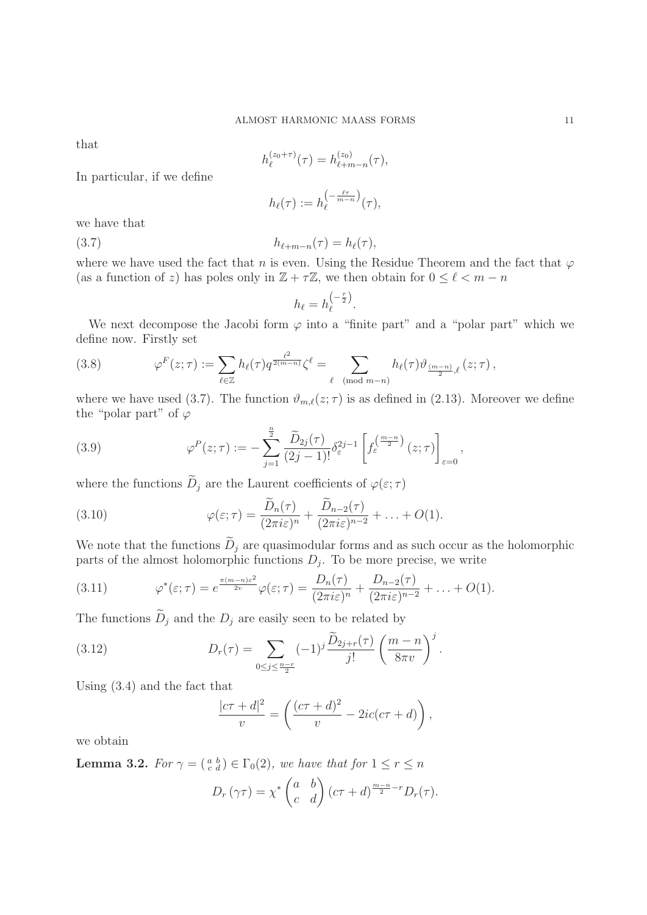that

$$
h_{\ell}^{(z_0+\tau)}(\tau) = h_{\ell+m-n}^{(z_0)}(\tau),
$$

In particular, if we define

$$
h_{\ell}(\tau) := h_{\ell}^{\left(-\frac{\ell\tau}{m-n}\right)}(\tau),
$$

we have that

(3.7)  $h_{\ell+m-n}(\tau) = h_{\ell}(\tau),$ 

where we have used the fact that n is even. Using the Residue Theorem and the fact that  $\varphi$ (as a function of z) has poles only in  $\mathbb{Z} + \tau \mathbb{Z}$ , we then obtain for  $0 \leq \ell < m - n$ 

$$
h_{\ell}=h_{\ell}^{\left(-\frac{\tau}{2}\right)}.
$$

We next decompose the Jacobi form  $\varphi$  into a "finite part" and a "polar part" which we define now. Firstly set

(3.8) 
$$
\varphi^F(z;\tau) := \sum_{\ell \in \mathbb{Z}} h_{\ell}(\tau) q^{\frac{\ell^2}{2(m-n)}} \zeta^{\ell} = \sum_{\ell \pmod{m-n}} h_{\ell}(\tau) \vartheta_{\frac{(m-n)}{2},\ell}(z;\tau),
$$

where we have used (3.7). The function  $\vartheta_{m,\ell}(z;\tau)$  is as defined in (2.13). Moreover we define the "polar part" of  $\varphi$ 

(3.9) 
$$
\varphi^P(z;\tau) := -\sum_{j=1}^{\frac{n}{2}} \frac{\widetilde{D}_{2j}(\tau)}{(2j-1)!} \delta_{\varepsilon}^{2j-1} \left[ f_{\varepsilon}^{\left(\frac{m-n}{2}\right)}(z;\tau) \right]_{\varepsilon=0},
$$

where the functions  $\widetilde{D}_j$  are the Laurent coefficients of  $\varphi(\varepsilon;\tau)$ 

(3.10) 
$$
\varphi(\varepsilon;\tau) = \frac{\overline{D}_n(\tau)}{(2\pi i\varepsilon)^n} + \frac{\overline{D}_{n-2}(\tau)}{(2\pi i\varepsilon)^{n-2}} + \ldots + O(1).
$$

We note that the functions  $\widetilde{D}_j$  are quasimodular forms and as such occur as the holomorphic parts of the almost holomorphic functions  $D_j$ . To be more precise, we write

(3.11) 
$$
\varphi^*(\varepsilon;\tau) = e^{\frac{\pi(m-n)\varepsilon^2}{2v}} \varphi(\varepsilon;\tau) = \frac{D_n(\tau)}{(2\pi i\varepsilon)^n} + \frac{D_{n-2}(\tau)}{(2\pi i\varepsilon)^{n-2}} + \ldots + O(1).
$$

The functions  $\widetilde{D}_j$  and the  $D_j$  are easily seen to be related by

(3.12) 
$$
D_r(\tau) = \sum_{0 \le j \le \frac{n-r}{2}} (-1)^j \frac{\tilde{D}_{2j+r}(\tau)}{j!} \left(\frac{m-n}{8\pi v}\right)^j.
$$

Using (3.4) and the fact that

$$
\frac{|c\tau+d|^2}{v} = \left(\frac{(c\tau+d)^2}{v} - 2ic(c\tau+d)\right),\,
$$

we obtain

**Lemma 3.2.** For  $\gamma = \begin{pmatrix} a & b \\ c & d \end{pmatrix} \in \Gamma_0(2)$ , we have that for  $1 \le r \le n$ 

$$
D_r(\gamma \tau) = \chi^* \begin{pmatrix} a & b \\ c & d \end{pmatrix} (c\tau + d)^{\frac{m-n}{2}-r} D_r(\tau).
$$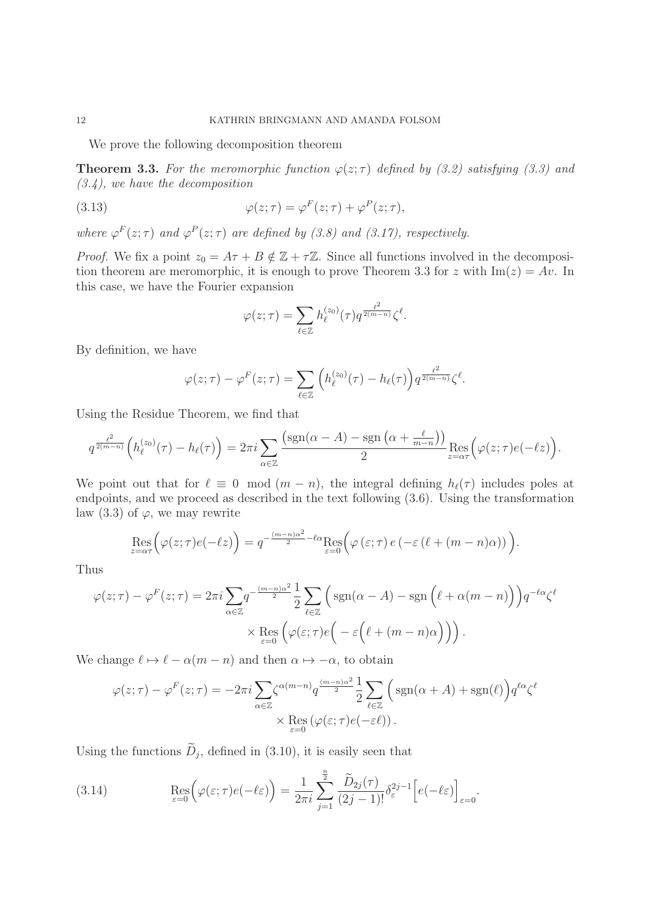We prove the following decomposition theorem

**Theorem 3.3.** For the meromorphic function  $\varphi(z;\tau)$  defined by (3.2) satisfying (3.3) and  $(3.4)$ , we have the decomposition

(3.13) 
$$
\varphi(z;\tau) = \varphi^F(z;\tau) + \varphi^P(z;\tau),
$$

where  $\varphi^F(z;\tau)$  and  $\varphi^P(z;\tau)$  are defined by (3.8) and (3.17), respectively.

*Proof.* We fix a point  $z_0 = A\tau + B \notin \mathbb{Z} + \tau \mathbb{Z}$ . Since all functions involved in the decomposition theorem are meromorphic, it is enough to prove Theorem 3.3 for z with  $\text{Im}(z) = Av$ . In this case, we have the Fourier expansion

$$
\varphi(z;\tau) = \sum_{\ell \in \mathbb{Z}} h_{\ell}^{(z_0)}(\tau) q^{\frac{\ell^2}{2(m-n)}} \zeta^{\ell}.
$$

By definition, we have

$$
\varphi(z;\tau) - \varphi^F(z;\tau) = \sum_{\ell \in \mathbb{Z}} \left( h_{\ell}^{(z_0)}(\tau) - h_{\ell}(\tau) \right) q^{\frac{\ell^2}{2(m-n)}} \zeta^{\ell}.
$$

Using the Residue Theorem, we find that

$$
q^{\frac{\ell^2}{2(m-n)}}\left(h_{\ell}^{(z_0)}(\tau)-h_{\ell}(\tau)\right)=2\pi i\sum_{\alpha\in\mathbb{Z}}\frac{\left(\text{sgn}(\alpha-A)-\text{sgn}\left(\alpha+\frac{\ell}{m-n}\right)\right)}{2}\text{Res}_{z=\alpha\tau}\left(\varphi(z;\tau)e(-\ell z)\right).
$$

We point out that for  $\ell \equiv 0 \mod(m - n)$ , the integral defining  $h_{\ell}(\tau)$  includes poles at endpoints, and we proceed as described in the text following (3.6). Using the transformation law (3.3) of  $\varphi$ , we may rewrite

$$
\operatorname{Res}_{z=\alpha\tau}\Big(\varphi(z;\tau)e(-\ell z)\Big)=q^{-\frac{(m-n)\alpha^2}{2}-\ell\alpha}\operatorname{Res}_{\varepsilon=0}\Big(\varphi\left(\varepsilon;\tau\right)e\left(-\varepsilon\left(\ell+(m-n)\alpha\right)\right)\Big).
$$

Thus

$$
\varphi(z;\tau) - \varphi^F(z;\tau) = 2\pi i \sum_{\alpha \in \mathbb{Z}} q^{-\frac{(m-n)\alpha^2}{2}} \frac{1}{2} \sum_{\ell \in \mathbb{Z}} \left( \text{sgn}(\alpha - A) - \text{sgn}(\ell + \alpha(m - n)) \right) q^{-\ell\alpha} \zeta^{\ell}
$$

$$
\times \operatorname{Res}_{\varepsilon = 0} \left( \varphi(\varepsilon;\tau) e\left( -\varepsilon(\ell + (m - n)\alpha) \right) \right).
$$

We change  $\ell \mapsto \ell - \alpha(m - n)$  and then  $\alpha \mapsto -\alpha$ , to obtain

$$
\varphi(z;\tau) - \varphi^F(z;\tau) = -2\pi i \sum_{\alpha \in \mathbb{Z}} \zeta^{\alpha(m-n)} q^{\frac{(m-n)\alpha^2}{2}} \frac{1}{2} \sum_{\ell \in \mathbb{Z}} \Big( \operatorname{sgn}(\alpha + A) + \operatorname{sgn}(\ell) \Big) q^{\ell\alpha} \zeta^{\ell}
$$

$$
\times \operatorname{Res}_{\varepsilon=0} (\varphi(\varepsilon;\tau)e(-\varepsilon \ell)).
$$

Using the functions  $\widetilde{D}_i$ , defined in (3.10), it is easily seen that

(3.14) 
$$
\operatorname{Res}_{\varepsilon=0} \Bigl( \varphi(\varepsilon;\tau)e(-\ell\varepsilon) \Bigr) = \frac{1}{2\pi i} \sum_{j=1}^{\frac{n}{2}} \frac{\widetilde{D}_{2j}(\tau)}{(2j-1)!} \delta_{\varepsilon}^{2j-1} \Bigl[ e(-\ell\varepsilon) \Bigr]_{\varepsilon=0}.
$$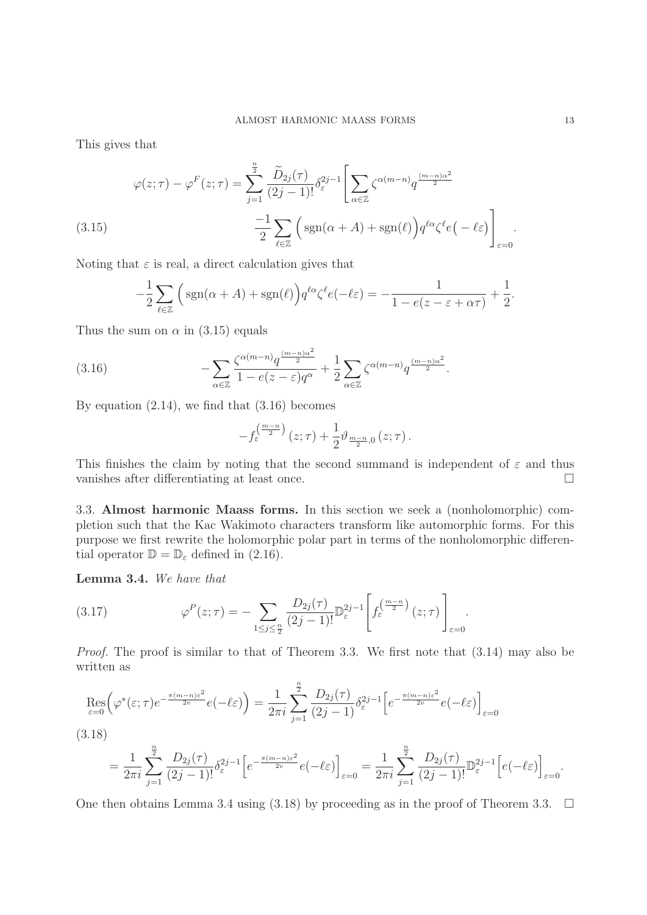This gives that

(3.15) 
$$
\varphi(z;\tau) - \varphi^F(z;\tau) = \sum_{j=1}^{\frac{n}{2}} \frac{\widetilde{D}_{2j}(\tau)}{(2j-1)!} \delta_{\varepsilon}^{2j-1} \left[ \sum_{\alpha \in \mathbb{Z}} \zeta^{\alpha(m-n)} q^{\frac{(m-n)\alpha^2}{2}} \right]
$$

$$
-\frac{1}{2} \sum_{\ell \in \mathbb{Z}} \left( \text{sgn}(\alpha + A) + \text{sgn}(\ell) \right) q^{\ell \alpha} \zeta^{\ell} e\left( -\ell \varepsilon \right) \Bigg]_{\varepsilon=0}.
$$

Noting that  $\varepsilon$  is real, a direct calculation gives that

$$
-\frac{1}{2}\sum_{\ell\in\mathbb{Z}}\Big(\operatorname{sgn}(\alpha+A)+\operatorname{sgn}(\ell)\Big)q^{\ell\alpha}\zeta^{\ell}e(-\ell\varepsilon)=-\frac{1}{1-e(z-\varepsilon+\alpha\tau)}+\frac{1}{2}.
$$

Thus the sum on  $\alpha$  in (3.15) equals

(3.16) 
$$
-\sum_{\alpha\in\mathbb{Z}}\frac{\zeta^{\alpha(m-n)}q^{\frac{(m-n)\alpha^2}{2}}}{1-e(z-\varepsilon)q^{\alpha}}+\frac{1}{2}\sum_{\alpha\in\mathbb{Z}}\zeta^{\alpha(m-n)}q^{\frac{(m-n)\alpha^2}{2}}.
$$

By equation  $(2.14)$ , we find that  $(3.16)$  becomes

$$
-f_{\varepsilon}^{\left(\frac{m-n}{2}\right)}(z;\tau)+\frac{1}{2}\vartheta_{\frac{m-n}{2},0}(z;\tau).
$$

This finishes the claim by noting that the second summand is independent of  $\varepsilon$  and thus vanishes after differentiating at least once.  $\Box$ 

3.3. **Almost harmonic Maass forms.** In this section we seek a (nonholomorphic) completion such that the Kac Wakimoto characters transform like automorphic forms. For this purpose we first rewrite the holomorphic polar part in terms of the nonholomorphic differential operator  $\mathbb{D} = \mathbb{D}_{\varepsilon}$  defined in (2.16).

 $\overline{a}$ 

**Lemma 3.4.** We have that

(3.17) 
$$
\varphi^P(z;\tau) = -\sum_{1 \leq j \leq \frac{n}{2}} \frac{D_{2j}(\tau)}{(2j-1)!} \mathbb{D}_{\varepsilon}^{2j-1} \left[ f_{\varepsilon}^{\left(\frac{m-n}{2}\right)}(z;\tau) \right]_{\varepsilon=0}.
$$

Proof. The proof is similar to that of Theorem 3.3. We first note that  $(3.14)$  may also be written as

$$
\operatorname{Res}_{\varepsilon=0} \left( \varphi^*(\varepsilon;\tau) e^{-\frac{\pi(m-n)\varepsilon^2}{2v}} e(-\ell\varepsilon) \right) = \frac{1}{2\pi i} \sum_{j=1}^{\frac{n}{2}} \frac{D_{2j}(\tau)}{(2j-1)} \delta_{\varepsilon}^{2j-1} \left[ e^{-\frac{\pi(m-n)\varepsilon^2}{2v}} e(-\ell\varepsilon) \right]_{\varepsilon=0}
$$

n

$$
(3.18)
$$

$$
=\frac{1}{2\pi i}\sum_{j=1}^{\frac{n}{2}}\frac{D_{2j}(\tau)}{(2j-1)!}\delta_{\varepsilon}^{2j-1}\Big[e^{-\frac{\pi(m-n)\varepsilon^2}{2v}}e(-\ell\varepsilon)\Big]_{\varepsilon=0}=\frac{1}{2\pi i}\sum_{j=1}^{\frac{n}{2}}\frac{D_{2j}(\tau)}{(2j-1)!}\mathbb{D}_{\varepsilon}^{2j-1}\Big[e(-\ell\varepsilon)\Big]_{\varepsilon=0}.
$$

One then obtains Lemma 3.4 using (3.18) by proceeding as in the proof of Theorem 3.3.  $\Box$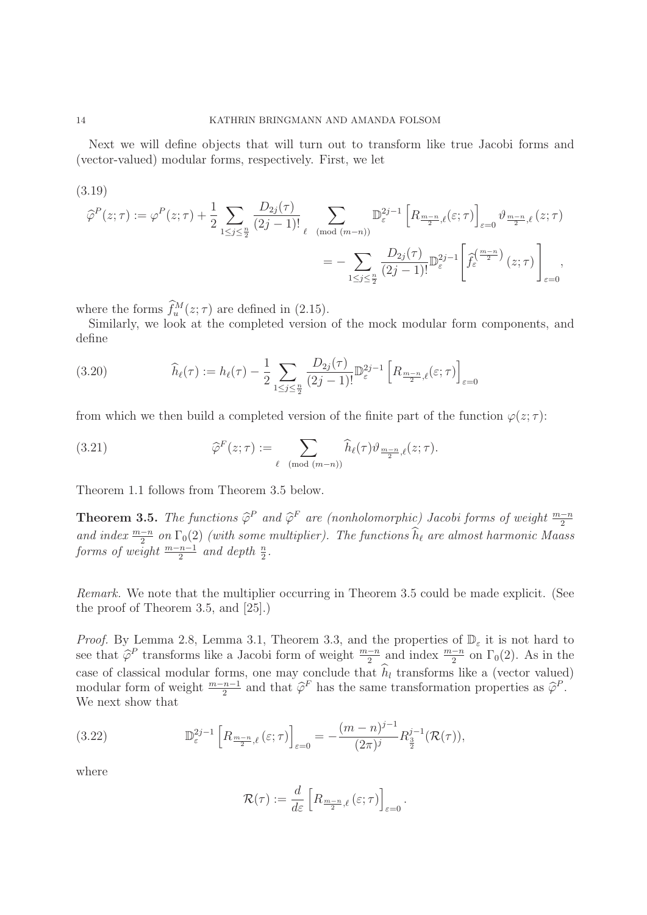Next we will define objects that will turn out to transform like true Jacobi forms and (vector-valued) modular forms, respectively. First, we let

(3.19)

$$
\widehat{\varphi}^{P}(z;\tau) := \varphi^{P}(z;\tau) + \frac{1}{2} \sum_{1 \leq j \leq \frac{n}{2}} \frac{D_{2j}(\tau)}{(2j-1)!} \sum_{\ell \pmod{(m-n)}} \mathbb{D}_{\varepsilon}^{2j-1} \left[ R_{\frac{m-n}{2},\ell}(\varepsilon;\tau) \right]_{\varepsilon=0} \vartheta_{\frac{m-n}{2},\ell}(z;\tau)
$$

$$
= - \sum_{1 \leq j \leq \frac{n}{2}} \frac{D_{2j}(\tau)}{(2j-1)!} \mathbb{D}_{\varepsilon}^{2j-1} \left[ \widehat{f}_{\varepsilon}^{\left(\frac{m-n}{2}\right)}(z;\tau) \right]_{\varepsilon=0},
$$

where the forms  $\widehat{f}_{u}^{M}(z;\tau)$  are defined in (2.15).

Similarly, we look at the completed version of the mock modular form components, and define

(3.20) 
$$
\hat{h}_{\ell}(\tau) := h_{\ell}(\tau) - \frac{1}{2} \sum_{1 \le j \le \frac{n}{2}} \frac{D_{2j}(\tau)}{(2j-1)!} \mathbb{D}_{\varepsilon}^{2j-1} \left[ R_{\frac{m-n}{2},\ell}(\varepsilon;\tau) \right]_{\varepsilon=0}
$$

from which we then build a completed version of the finite part of the function  $\varphi(z;\tau)$ :

(3.21) 
$$
\widehat{\varphi}^F(z;\tau) := \sum_{\ell \pmod{(m-n)}} \widehat{h}_{\ell}(\tau) \vartheta_{\frac{m-n}{2},\ell}(z;\tau).
$$

Theorem 1.1 follows from Theorem 3.5 below.

**Theorem 3.5.** The functions  $\hat{\varphi}^P$  and  $\hat{\varphi}^F$  are (nonholomorphic) Jacobi forms of weight  $\frac{m-n}{2}$ and index  $\frac{m-n}{2}$  on  $\Gamma_0(2)$  (with some multiplier). The functions  $\widehat{h}_{\ell}$  are almost harmonic Maass forms of weight  $\frac{m-n-1}{2}$  and depth  $\frac{n}{2}$ .

Remark. We note that the multiplier occurring in Theorem 3.5 could be made explicit. (See the proof of Theorem 3.5, and [25].)

*Proof.* By Lemma 2.8, Lemma 3.1, Theorem 3.3, and the properties of  $\mathbb{D}_{\varepsilon}$  it is not hard to see that  $\hat{\varphi}^P$  transforms like a Jacobi form of weight  $\frac{m-n}{2}$  and index  $\frac{m-n}{2}$  on  $\Gamma_0(2)$ . As in the case of classical modular forms, one may conclude that  $h_l$  transforms like a (vector valued) modular form of weight  $\frac{m-n-1}{2}$  and that  $\widehat{\varphi}^F$  has the same transformation properties as  $\widehat{\varphi}^P$ . We next show that

(3.22) 
$$
\mathbb{D}_{\varepsilon}^{2j-1} \left[ R_{\frac{m-n}{2},\ell} \left( \varepsilon;\tau \right) \right]_{\varepsilon=0} = -\frac{(m-n)^{j-1}}{(2\pi)^j} R_{\frac{3}{2}}^{j-1} (\mathcal{R}(\tau)),
$$

where

$$
\mathcal{R}(\tau) := \frac{d}{d\varepsilon} \left[ R_{\frac{m-n}{2},\ell} \left( \varepsilon;\tau \right) \right]_{\varepsilon=0}.
$$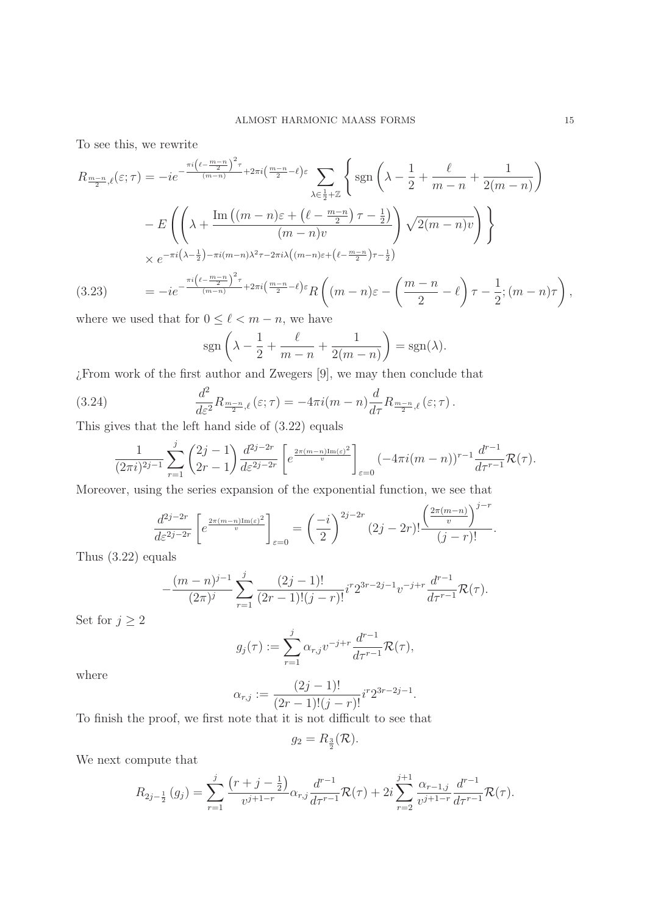To see this, we rewrite

$$
R_{\frac{m-n}{2},\ell}(\varepsilon;\tau) = -ie^{-\frac{\pi i \left(\ell - \frac{m-n}{2}\right)^2 \tau}{(m-n)} + 2\pi i \left(\frac{m-n}{2} - \ell\right)\varepsilon} \sum_{\lambda \in \frac{1}{2} + \mathbb{Z}} \left\{ \operatorname{sgn}\left(\lambda - \frac{1}{2} + \frac{\ell}{m-n} + \frac{1}{2(m-n)}\right) \right\}
$$

$$
-E\left(\left(\lambda + \frac{\operatorname{Im}\left((m-n)\varepsilon + \left(\ell - \frac{m-n}{2}\right)\tau - \frac{1}{2}\right)}{(m-n)v}\right) \sqrt{2(m-n)v}\right)\right\}
$$

$$
\times e^{-\pi i \left(\lambda - \frac{1}{2}\right) - \pi i (m-n)\lambda^2 \tau - 2\pi i \lambda \left((m-n)\varepsilon + \left(\ell - \frac{m-n}{2}\right)\tau - \frac{1}{2}\right)}
$$

$$
(3.23) = -ie^{-\frac{\pi i \left(\ell - \frac{m-n}{2}\right)^2 \tau}{(m-n)} + 2\pi i \left(\frac{m-n}{2} - \ell\right)\varepsilon} R\left((m-n)\varepsilon - \left(\frac{m-n}{2} - \ell\right)\tau - \frac{1}{2}; (m-n)\tau\right),
$$

where we used that for  $0 \leq \ell < m - n$ , we have

$$
sgn\left(\lambda - \frac{1}{2} + \frac{\ell}{m - n} + \frac{1}{2(m - n)}\right) = sgn(\lambda).
$$

¿From work of the first author and Zwegers [9], we may then conclude that

(3.24) 
$$
\frac{d^2}{d\varepsilon^2} R_{\frac{m-n}{2},\ell}(\varepsilon;\tau) = -4\pi i (m-n) \frac{d}{d\tau} R_{\frac{m-n}{2},\ell}(\varepsilon;\tau).
$$

This gives that the left hand side of (3.22) equals

j

$$
\frac{1}{(2\pi i)^{2j-1}} \sum_{r=1}^{j} {2j-1 \choose 2r-1} \frac{d^{2j-2r}}{d\varepsilon^{2j-2r}} \left[ e^{\frac{2\pi (m-n)\text{Im}(\varepsilon)^2}{v}} \right]_{\varepsilon=0} \left( -4\pi i (m-n) \right)^{r-1} \frac{d^{r-1}}{d\tau^{r-1}} \mathcal{R}(\tau).
$$

Moreover, using the series expansion of the exponential function, we see that

$$
\frac{d^{2j-2r}}{dz^{2j-2r}} \left[ e^{\frac{2\pi (m-n)\text{Im}(\varepsilon)^2}{v}} \right]_{\varepsilon=0} = \left( \frac{-i}{2} \right)^{2j-2r} (2j-2r)! \frac{\left( \frac{2\pi (m-n)}{v} \right)^{j-r}}{(j-r)!}.
$$

Thus (3.22) equals

$$
-\frac{(m-n)^{j-1}}{(2\pi)^j}\sum_{r=1}^j\frac{(2j-1)!}{(2r-1)!(j-r)!}i^r2^{3r-2j-1}v^{-j+r}\frac{d^{r-1}}{d\tau^{r-1}}\mathcal{R}(\tau).
$$

Set for  $j \geq 2$ 

$$
g_j(\tau) := \sum_{r=1}^j \alpha_{r,j} v^{-j+r} \frac{d^{r-1}}{d\tau^{r-1}} \mathcal{R}(\tau),
$$

where

$$
\alpha_{r,j} := \frac{(2j-1)!}{(2r-1)!(j-r)!} i^r 2^{3r-2j-1}.
$$

To finish the proof, we first note that it is not difficult to see that

$$
g_2 = R_{\frac{3}{2}}(\mathcal{R}).
$$

We next compute that

$$
R_{2j-\frac{1}{2}}(g_j) = \sum_{r=1}^j \frac{(r+j-\frac{1}{2})}{v^{j+1-r}} \alpha_{r,j} \frac{d^{r-1}}{d\tau^{r-1}} \mathcal{R}(\tau) + 2i \sum_{r=2}^{j+1} \frac{\alpha_{r-1,j}}{v^{j+1-r}} \frac{d^{r-1}}{d\tau^{r-1}} \mathcal{R}(\tau).
$$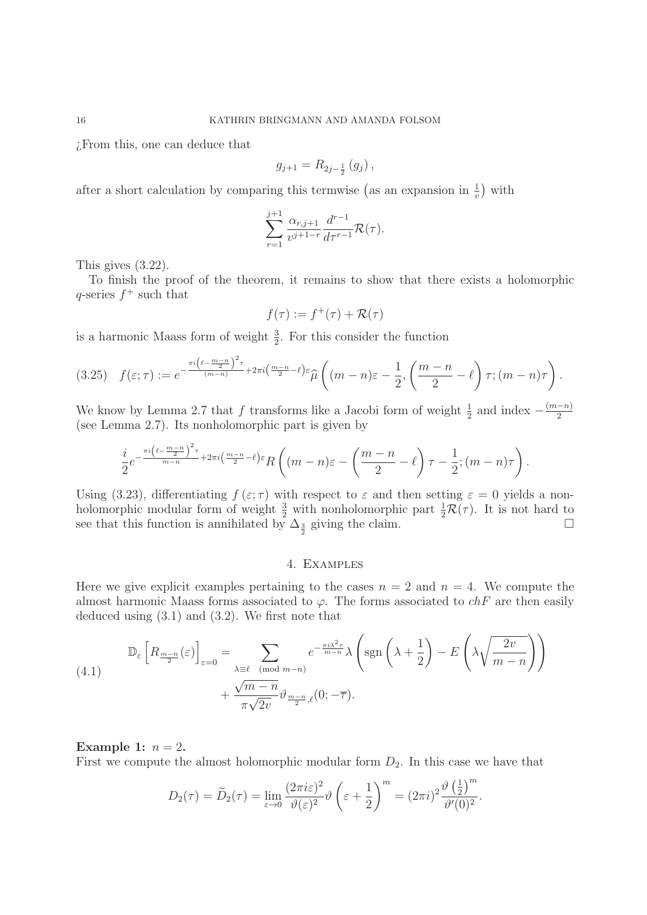¿From this, one can deduce that

$$
g_{j+1} = R_{2j-\frac{1}{2}}(g_j) ,
$$

after a short calculation by comparing this termwise (as an expansion in  $\frac{1}{v}$ ) with

$$
\sum_{r=1}^{j+1} \frac{\alpha_{r,j+1}}{v^{j+1-r}} \frac{d^{r-1}}{d\tau^{r-1}} \mathcal{R}(\tau).
$$

This gives (3.22).

To finish the proof of the theorem, it remains to show that there exists a holomorphic q-series  $f^+$  such that

$$
f(\tau):=f^+(\tau)+\mathcal{R}(\tau)
$$

is a harmonic Maass form of weight  $\frac{3}{2}$ . For this consider the function

$$
(3.25) \quad f(\varepsilon;\tau) := e^{-\frac{\pi i \left(\ell - \frac{m-n}{2}\right)^2 \tau}{(m-n)} + 2\pi i \left(\frac{m-n}{2} - \ell\right) \varepsilon} \widehat{\mu}\left((m-n)\varepsilon - \frac{1}{2}, \left(\frac{m-n}{2} - \ell\right) \tau; (m-n)\tau\right).
$$

We know by Lemma 2.7 that f transforms like a Jacobi form of weight  $\frac{1}{2}$  and index  $-\frac{(m-n)}{2}$ (see Lemma 2.7). Its nonholomorphic part is given by

$$
\frac{i}{2}e^{-\frac{\pi i\left(\ell-\frac{m-n}{2}\right)^2\tau}{m-n}+2\pi i\left(\frac{m-n}{2}-\ell\right)\varepsilon}R\left((m-n)\varepsilon-\left(\frac{m-n}{2}-\ell\right)\tau-\frac{1}{2};(m-n)\tau\right).
$$

Using (3.23), differentiating  $f(\varepsilon;\tau)$  with respect to  $\varepsilon$  and then setting  $\varepsilon = 0$  yields a nonholomorphic modular form of weight  $\frac{3}{2}$  with nonholomorphic part  $\frac{1}{2}\mathcal{R}(\tau)$ . It is not hard to see that this function is annihilated by  $\Delta_{\frac{3}{2}}$  giving the claim.  $\Box$ 

# 4. Examples

Here we give explicit examples pertaining to the cases  $n = 2$  and  $n = 4$ . We compute the almost harmonic Maass forms associated to  $\varphi$ . The forms associated to  $chF$  are then easily deduced using (3.1) and (3.2). We first note that

(4.1) 
$$
\mathbb{D}_{\varepsilon}\left[R_{\frac{m-n}{2}}(\varepsilon)\right]_{\varepsilon=0} = \sum_{\lambda\equiv\ell\pmod{m-n}} e^{-\frac{\pi i \lambda^2 \tau}{m-n}} \lambda\left(\text{sgn}\left(\lambda + \frac{1}{2}\right) - E\left(\lambda \sqrt{\frac{2v}{m-n}}\right)\right) + \frac{\sqrt{m-n}}{\pi \sqrt{2v}} \vartheta_{\frac{m-n}{2},\ell}(0; -\overline{\tau}).
$$

### **Example 1:**  $n = 2$ .

First we compute the almost holomorphic modular form  $D_2$ . In this case we have that

$$
D_2(\tau) = \widetilde{D}_2(\tau) = \lim_{\varepsilon \to 0} \frac{(2\pi i \varepsilon)^2}{\vartheta(\varepsilon)^2} \vartheta \left(\varepsilon + \frac{1}{2}\right)^m = (2\pi i)^2 \frac{\vartheta\left(\frac{1}{2}\right)^m}{\vartheta'(0)^2}.
$$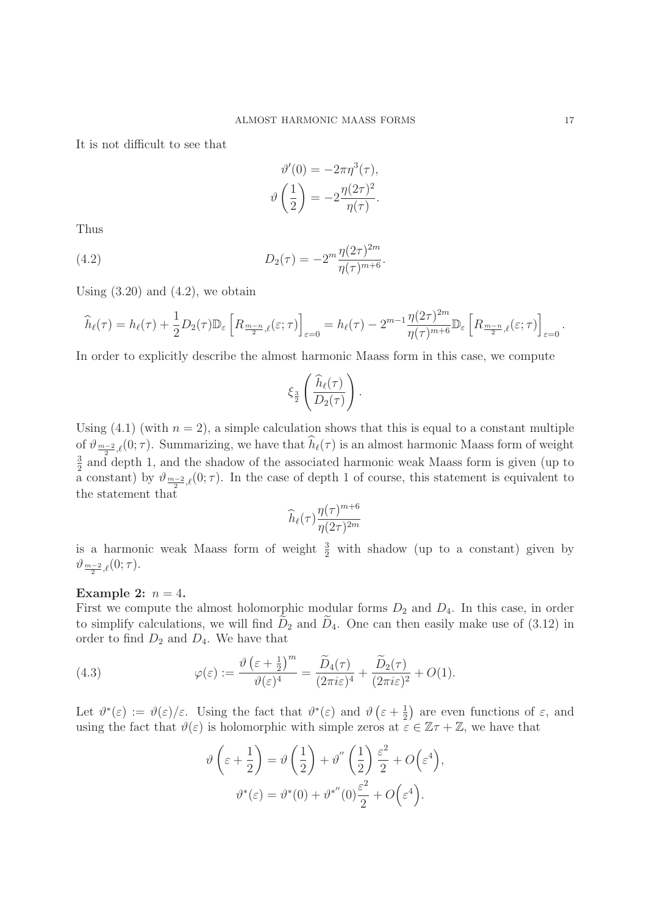It is not difficult to see that

$$
\vartheta'(0) = -2\pi \eta^{3}(\tau),
$$

$$
\vartheta\left(\frac{1}{2}\right) = -2\frac{\eta(2\tau)^{2}}{\eta(\tau)}.
$$

Thus

(4.2) 
$$
D_2(\tau) = -2^m \frac{\eta(2\tau)^{2m}}{\eta(\tau)^{m+6}}.
$$

Using  $(3.20)$  and  $(4.2)$ , we obtain

$$
\widehat{h}_{\ell}(\tau) = h_{\ell}(\tau) + \frac{1}{2} D_2(\tau) \mathbb{D}_{\varepsilon} \left[ R_{\frac{m-n}{2},\ell}(\varepsilon;\tau) \right]_{\varepsilon=0} = h_{\ell}(\tau) - 2^{m-1} \frac{\eta(2\tau)^{2m}}{\eta(\tau)^{m+6}} \mathbb{D}_{\varepsilon} \left[ R_{\frac{m-n}{2},\ell}(\varepsilon;\tau) \right]_{\varepsilon=0}.
$$

In order to explicitly describe the almost harmonic Maass form in this case, we compute

$$
\xi_{\frac{3}{2}}\left(\frac{\widehat{h}_{\ell}(\tau)}{D_2(\tau)}\right).
$$

Using  $(4.1)$  (with  $n = 2$ ), a simple calculation shows that this is equal to a constant multiple of  $\vartheta_{m-2,\ell}(0;\tau)$ . Summarizing, we have that  $h_{\ell}(\tau)$  is an almost harmonic Maass form of weight  $\frac{3}{2}$  and depth 1, and the shadow of the associated harmonic weak Maass form is given (up to a constant) by  $\vartheta_{m-2,\ell}(0;\tau)$ . In the case of depth 1 of course, this statement is equivalent to the statement that

$$
\widehat{h}_{\ell}(\tau) \frac{\eta(\tau)^{m+6}}{\eta(2\tau)^{2m}}
$$

is a harmonic weak Maass form of weight  $\frac{3}{2}$  with shadow (up to a constant) given by  $\vartheta_{\frac{m-2}{2},\ell}(0;\tau).$ 

### **Example 2:**  $n = 4$ .

First we compute the almost holomorphic modular forms  $D_2$  and  $D_4$ . In this case, in order to simplify calculations, we will find  $\tilde{D}_2$  and  $\tilde{D}_4$ . One can then easily make use of (3.12) in order to find  $D_2$  and  $D_4$ . We have that

(4.3) 
$$
\varphi(\varepsilon) := \frac{\vartheta\left(\varepsilon + \frac{1}{2}\right)^m}{\vartheta(\varepsilon)^4} = \frac{\widetilde{D}_4(\tau)}{(2\pi i\varepsilon)^4} + \frac{\widetilde{D}_2(\tau)}{(2\pi i\varepsilon)^2} + O(1).
$$

Let  $\vartheta^*(\varepsilon) := \vartheta(\varepsilon)/\varepsilon$ . Using the fact that  $\vartheta^*(\varepsilon)$  and  $\vartheta(\varepsilon + \frac{1}{2})$  are even functions of  $\varepsilon$ , and using the fact that  $\vartheta(\varepsilon)$  is holomorphic with simple zeros at  $\varepsilon \in \mathbb{Z}\tau + \mathbb{Z}$ , we have that

$$
\vartheta\left(\varepsilon + \frac{1}{2}\right) = \vartheta\left(\frac{1}{2}\right) + \vartheta''\left(\frac{1}{2}\right)\frac{\varepsilon^2}{2} + O\left(\varepsilon^4\right),
$$

$$
\vartheta^*(\varepsilon) = \vartheta^*(0) + \vartheta^{*''}(0)\frac{\varepsilon^2}{2} + O\left(\varepsilon^4\right).
$$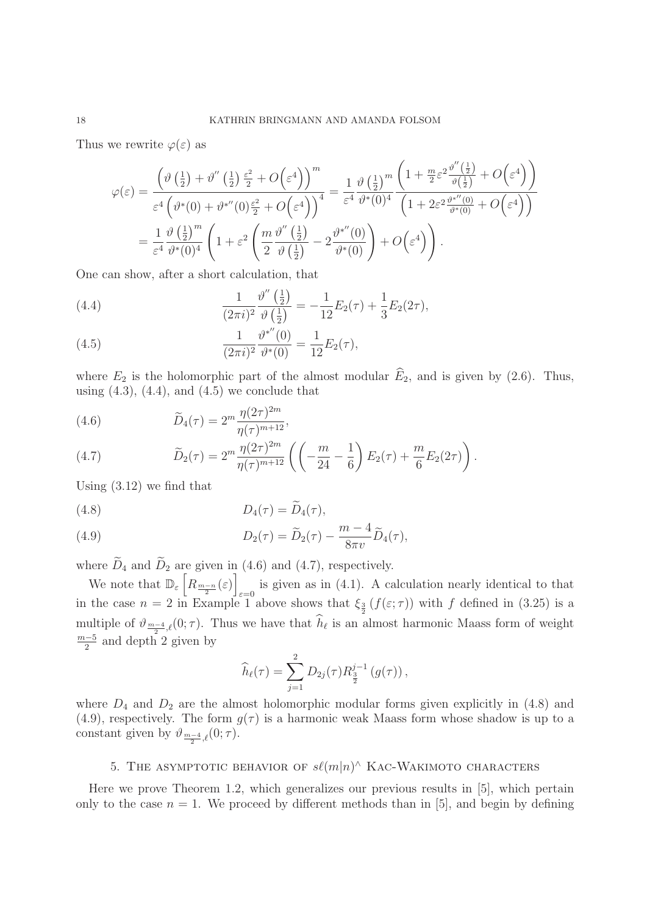Thus we rewrite  $\varphi(\varepsilon)$  as

$$
\varphi(\varepsilon) = \frac{\left(\vartheta\left(\frac{1}{2}\right) + \vartheta''\left(\frac{1}{2}\right)\frac{\varepsilon^2}{2} + O\left(\varepsilon^4\right)\right)^m}{\varepsilon^4 \left(\vartheta^*(0) + \vartheta^{*''}(0)\frac{\varepsilon^2}{2} + O\left(\varepsilon^4\right)\right)^4} = \frac{1}{\varepsilon^4} \frac{\vartheta\left(\frac{1}{2}\right)^m \left(1 + \frac{m}{2}\varepsilon^2 \frac{\vartheta''\left(\frac{1}{2}\right)}{\vartheta\left(\frac{1}{2}\right)} + O\left(\varepsilon^4\right)\right)}{\left(1 + 2\varepsilon^2 \frac{\vartheta^{*''}(0)}{\vartheta^*(0)} + O\left(\varepsilon^4\right)\right)}
$$

$$
= \frac{1}{\varepsilon^4} \frac{\vartheta\left(\frac{1}{2}\right)^m}{\vartheta^*(0)^4} \left(1 + \varepsilon^2 \left(\frac{m}{2} \frac{\vartheta''\left(\frac{1}{2}\right)}{\vartheta\left(\frac{1}{2}\right)} - 2\frac{\vartheta^{*''}(0)}{\vartheta^*(0)}\right) + O\left(\varepsilon^4\right)\right).
$$

One can show, after a short calculation, that

(4.4) 
$$
\frac{1}{(2\pi i)^2} \frac{\vartheta''\left(\frac{1}{2}\right)}{\vartheta\left(\frac{1}{2}\right)} = -\frac{1}{12} E_2(\tau) + \frac{1}{3} E_2(2\tau),
$$

(4.5) 
$$
\frac{1}{(2\pi i)^2} \frac{\vartheta^{*''}(0)}{\vartheta^*(0)} = \frac{1}{12} E_2(\tau),
$$

where  $E_2$  is the holomorphic part of the almost modular  $\widehat{E}_2$ , and is given by (2.6). Thus, using  $(4.3)$ ,  $(4.4)$ , and  $(4.5)$  we conclude that

(4.6) 
$$
\widetilde{D}_4(\tau) = 2^m \frac{\eta(2\tau)^{2m}}{\eta(\tau)^{m+12}},
$$

(4.7) 
$$
\widetilde{D}_2(\tau) = 2^m \frac{\eta(2\tau)^{2m}}{\eta(\tau)^{m+12}} \left( \left( -\frac{m}{24} - \frac{1}{6} \right) E_2(\tau) + \frac{m}{6} E_2(2\tau) \right).
$$

Using (3.12) we find that

$$
(4.8) \t\t D_4(\tau) = \widetilde{D}_4(\tau),
$$

(4.9) 
$$
D_2(\tau) = \widetilde{D}_2(\tau) - \frac{m-4}{8\pi v} \widetilde{D}_4(\tau),
$$

where  $\widetilde{D}_4$  and  $\widetilde{D}_2$  are given in (4.6) and (4.7), respectively.

We note that  $\mathbb{D}_{\varepsilon}\left[\widetilde{R_{\frac{m-n}{2}}(\varepsilon)}\right]$ is given as in (4.1). A calculation nearly identical to that in the case  $n = 2$  in Example 1 above shows that  $\xi_{\frac{3}{2}}(f(\varepsilon;\tau))$  with f defined in (3.25) is a multiple of  $\vartheta_{m-4/2}$ ,  $(0;\tau)$ . Thus we have that  $h_{\ell}$  is an almost harmonic Maass form of weight  $\frac{m-5}{2}$  and depth 2 given by

$$
\widehat{h}_{\ell}(\tau) = \sum_{j=1}^{2} D_{2j}(\tau) R_{\frac{3}{2}}^{j-1} (g(\tau)),
$$

where  $D_4$  and  $D_2$  are the almost holomorphic modular forms given explicitly in (4.8) and (4.9), respectively. The form  $g(\tau)$  is a harmonic weak Maass form whose shadow is up to a constant given by  $\vartheta_{\frac{m-4}{2},\ell}(0;\tau)$ .

# 5. THE ASYMPTOTIC BEHAVIOR OF  $s\ell(m|n)$ <sup>^</sup> KAC-WAKIMOTO CHARACTERS

Here we prove Theorem 1.2, which generalizes our previous results in [5], which pertain only to the case  $n = 1$ . We proceed by different methods than in [5], and begin by defining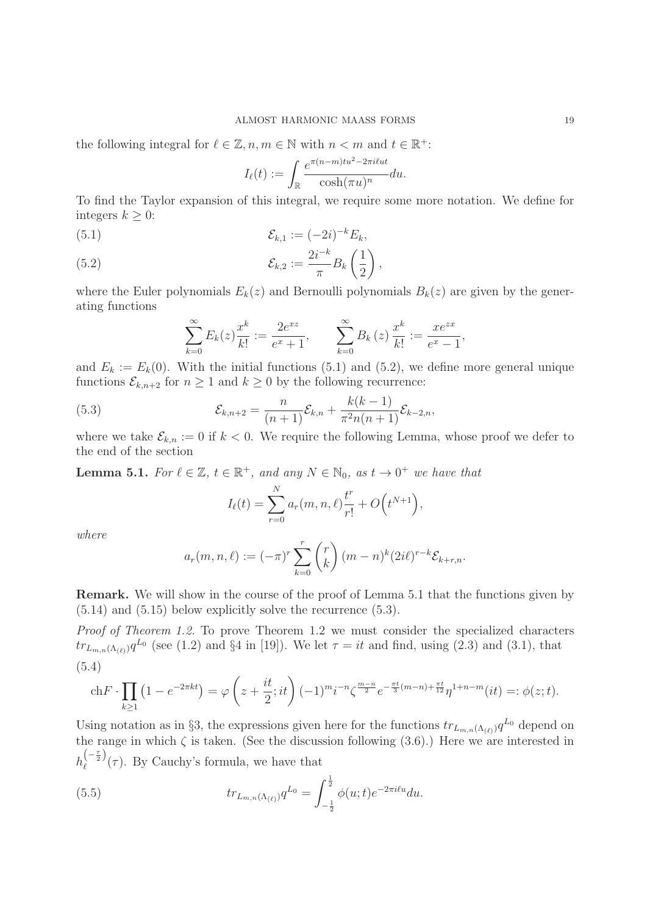the following integral for  $\ell \in \mathbb{Z}$ ,  $n, m \in \mathbb{N}$  with  $n < m$  and  $t \in \mathbb{R}^+$ :

$$
I_{\ell}(t) := \int_{\mathbb{R}} \frac{e^{\pi (n-m)tu^2 - 2\pi i tut}}{\cosh(\pi u)^n} du.
$$

To find the Taylor expansion of this integral, we require some more notation. We define for integers  $k > 0$ :

(5.1) 
$$
\mathcal{E}_{k,1} := (-2i)^{-k} E_k,
$$

(5.2) 
$$
\mathcal{E}_{k,2} := \frac{2i^{-k}}{\pi} B_k \left( \frac{1}{2} \right),
$$

where the Euler polynomials  $E_k(z)$  and Bernoulli polynomials  $B_k(z)$  are given by the generating functions

$$
\sum_{k=0}^{\infty} E_k(z) \frac{x^k}{k!} := \frac{2e^{xz}}{e^x + 1}, \qquad \sum_{k=0}^{\infty} B_k(z) \frac{x^k}{k!} := \frac{xe^{zx}}{e^x - 1},
$$

and  $E_k := E_k(0)$ . With the initial functions (5.1) and (5.2), we define more general unique functions  $\mathcal{E}_{k,n+2}$  for  $n \geq 1$  and  $k \geq 0$  by the following recurrence:

(5.3) 
$$
\mathcal{E}_{k,n+2} = \frac{n}{(n+1)} \mathcal{E}_{k,n} + \frac{k(k-1)}{\pi^2 n(n+1)} \mathcal{E}_{k-2,n},
$$

where we take  $\mathcal{E}_{k,n} := 0$  if  $k < 0$ . We require the following Lemma, whose proof we defer to the end of the section

**Lemma 5.1.** For  $\ell \in \mathbb{Z}$ ,  $t \in \mathbb{R}^+$ , and any  $N \in \mathbb{N}_0$ , as  $t \to 0^+$  we have that

$$
I_{\ell}(t) = \sum_{r=0}^{N} a_r(m, n, \ell) \frac{t^r}{r!} + O(t^{N+1}),
$$

where

$$
a_r(m, n, \ell) := (-\pi)^r \sum_{k=0}^r {r \choose k} (m-n)^k (2i\ell)^{r-k} \mathcal{E}_{k+r,n}.
$$

**Remark.** We will show in the course of the proof of Lemma 5.1 that the functions given by (5.14) and (5.15) below explicitly solve the recurrence (5.3).

Proof of Theorem 1.2. To prove Theorem 1.2 we must consider the specialized characters  $tr_{L_{m,n}(\Lambda_{(\ell)})}q^{L_0}$  (see (1.2) and §4 in [19]). We let  $\tau = it$  and find, using (2.3) and (3.1), that (5.4)

$$
\text{ch}F \cdot \prod_{k\geq 1} \left(1 - e^{-2\pi kt}\right) = \varphi\left(z + \frac{it}{2}; it\right) (-1)^m i^{-n} \zeta^{\frac{m-n}{2}} e^{-\frac{\pi t}{3}(m-n) + \frac{\pi t}{12}} \eta^{1+n-m}(it) =: \phi(z; t).
$$

Using notation as in §3, the expressions given here for the functions  $tr_{L_{m,n}(\Lambda_{(\ell)})}q^{L_0}$  depend on the range in which  $\zeta$  is taken. (See the discussion following (3.6).) Here we are interested in  $h_{\ell}^{\left(-\frac{\tau}{2}\right)}(\tau)$ . By Cauchy's formula, we have that

(5.5) 
$$
tr_{L_{m,n}(\Lambda_{(\ell)})} q^{L_0} = \int_{-\frac{1}{2}}^{\frac{1}{2}} \phi(u;t) e^{-2\pi i \ell u} du.
$$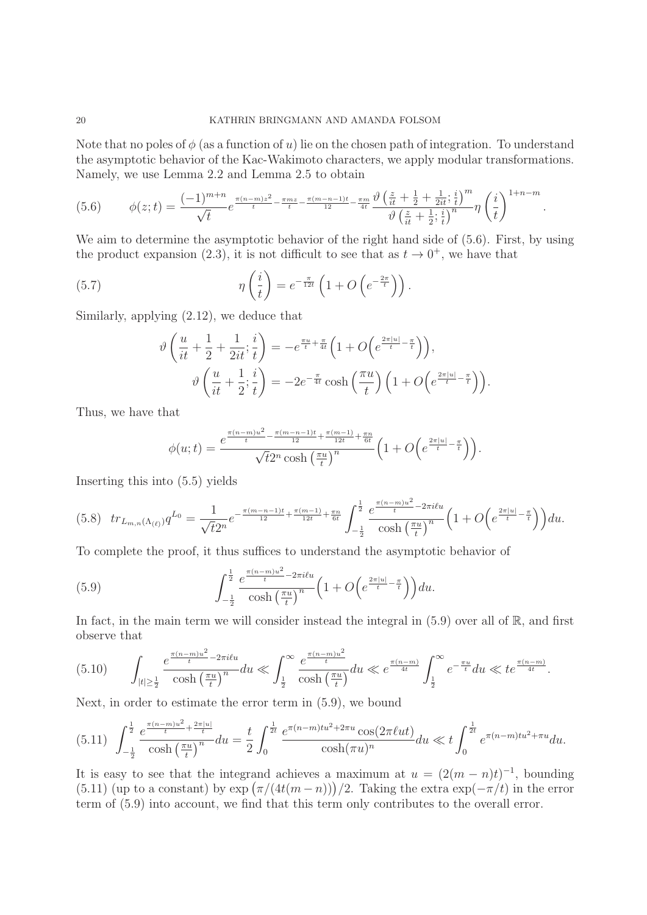Note that no poles of  $\phi$  (as a function of u) lie on the chosen path of integration. To understand the asymptotic behavior of the Kac-Wakimoto characters, we apply modular transformations. Namely, we use Lemma 2.2 and Lemma 2.5 to obtain

$$
(5.6) \qquad \phi(z;t) = \frac{(-1)^{m+n}}{\sqrt{t}} e^{\frac{\pi(n-m)z^2}{t} - \frac{\pi mz}{t} - \frac{\pi(m-n-1)t}{12} - \frac{\pi m}{4t}} \frac{\vartheta\left(\frac{z}{it} + \frac{1}{2} + \frac{1}{2it}; \frac{i}{t}\right)^m}{\vartheta\left(\frac{z}{it} + \frac{1}{2}; \frac{i}{t}\right)^n} \eta\left(\frac{i}{t}\right)^{1+n-m}.
$$

We aim to determine the asymptotic behavior of the right hand side of  $(5.6)$ . First, by using the product expansion (2.3), it is not difficult to see that as  $t \to 0^+$ , we have that

(5.7) 
$$
\eta\left(\frac{i}{t}\right) = e^{-\frac{\pi}{12t}}\left(1 + O\left(e^{-\frac{2\pi}{t}}\right)\right).
$$

Similarly, applying (2.12), we deduce that

$$
\vartheta\left(\frac{u}{it} + \frac{1}{2} + \frac{1}{2it}; \frac{i}{t}\right) = -e^{\frac{\pi u}{t} + \frac{\pi}{4t}} \left(1 + O\left(e^{\frac{2\pi |u|}{t} - \frac{\pi}{t}}\right)\right),
$$

$$
\vartheta\left(\frac{u}{it} + \frac{1}{2}; \frac{i}{t}\right) = -2e^{-\frac{\pi}{4t}} \cosh\left(\frac{\pi u}{t}\right) \left(1 + O\left(e^{\frac{2\pi |u|}{t} - \frac{\pi}{t}}\right)\right).
$$

Thus, we have that

$$
\phi(u;t)=\frac{e^{\frac{\pi(n-m)u^2}{t}-\frac{\pi(m-n-1)t}{12}+\frac{\pi(m-1)}{12t}+\frac{\pi n}{6t}}}{\sqrt{t}2^n\cosh\left(\frac{\pi u}{t}\right)^n}\Big(1+O\Big(e^{\frac{2\pi|u|}{t}-\frac{\pi}{t}}\Big)\Big).
$$

Inserting this into (5.5) yields

$$
(5.8) \quad tr_{L_{m,n}(\Lambda_{(\ell)})} q^{L_0} = \frac{1}{\sqrt{t}2^n} e^{-\frac{\pi(m-n-1)t}{12} + \frac{\pi(m-1)}{12t} + \frac{\pi n}{6t}} \int_{-\frac{1}{2}}^{\frac{1}{2}} \frac{e^{\frac{\pi(n-m)u^2}{t} - 2\pi i \ell u}}{\cosh\left(\frac{\pi u}{t}\right)^n} \left(1 + O\left(e^{\frac{2\pi |u|}{t} - \frac{\pi}{t}}\right)\right) du.
$$

To complete the proof, it thus suffices to understand the asymptotic behavior of

(5.9) 
$$
\int_{-\frac{1}{2}}^{\frac{1}{2}} \frac{e^{\frac{\pi (n-m)u^2}{t} - 2\pi i \ell u}}{\cosh\left(\frac{\pi u}{t}\right)^n} \left(1 + O\left(e^{\frac{2\pi |u|}{t} - \frac{\pi}{t}}\right)\right) du.
$$

In fact, in the main term we will consider instead the integral in  $(5.9)$  over all of  $\mathbb{R}$ , and first observe that

$$
(5.10) \qquad \int_{|t|\geq \frac{1}{2}} \frac{e^{\frac{\pi (n-m)u^2}{t} - 2\pi i t u}}{\cosh\left(\frac{\pi u}{t}\right)^n} du \ll \int_{\frac{1}{2}}^{\infty} \frac{e^{\frac{\pi (n-m)u^2}{t}}}{\cosh\left(\frac{\pi u}{t}\right)} du \ll e^{\frac{\pi (n-m)}{4t}} \int_{\frac{1}{2}}^{\infty} e^{-\frac{\pi u}{t}} du \ll t e^{\frac{\pi (n-m)}{4t}}.
$$

Next, in order to estimate the error term in (5.9), we bound

$$
(5.11)\ \ \int_{-\frac{1}{2}}^{\frac{1}{2}}\frac{e^{\frac{\pi(n-m)u^2}{t}+\frac{2\pi|u|}{t}}}{\cosh\left(\frac{\pi u}{t}\right)^n}du=\frac{t}{2}\int_0^{\frac{1}{2t}}\frac{e^{\pi(n-m)tu^2+2\pi u}\cos(2\pi \ell ut)}{\cosh(\pi u)^n}du\ll t\int_0^{\frac{1}{2t}}e^{\pi(n-m)tu^2+\pi u}du.
$$

It is easy to see that the integrand achieves a maximum at  $u = (2(m - n)t)^{-1}$ , bounding (5.11) (up to a constant) by  $\exp\left(\frac{\pi}{4t(m-n)}\right)/2$ . Taking the extra  $\exp(-\frac{\pi}{t})$  in the error term of (5.9) into account, we find that this term only contributes to the overall error.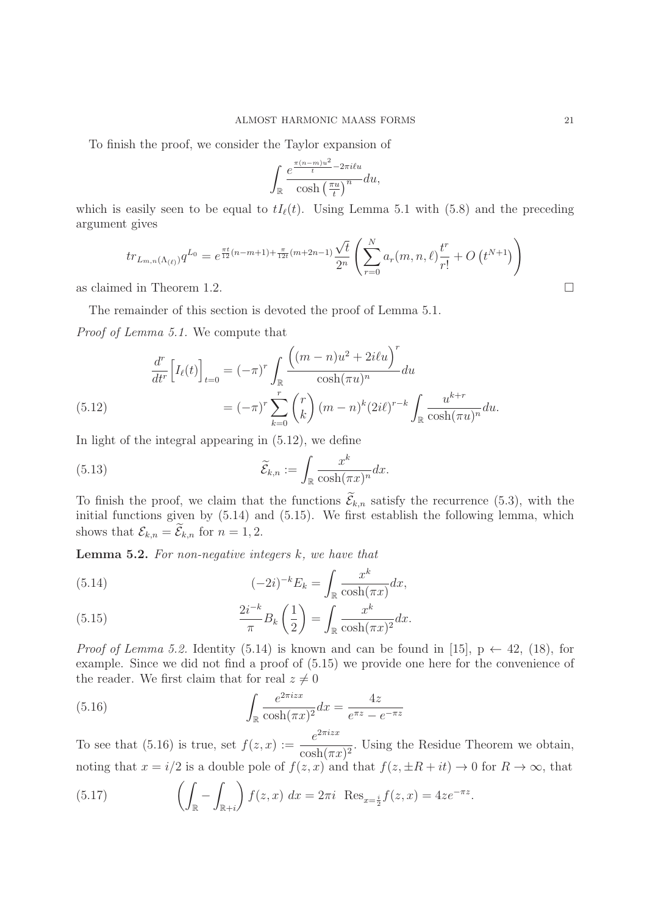To finish the proof, we consider the Taylor expansion of

$$
\int_{\mathbb{R}} \frac{e^{\frac{\pi (n-m)u^2}{t} - 2\pi i \ell u}}{\cosh\left(\frac{\pi u}{t}\right)^n} du,
$$

which is easily seen to be equal to  $tI_{\ell}(t)$ . Using Lemma 5.1 with (5.8) and the preceding argument gives

$$
tr_{L_{m,n}(\Lambda_{(\ell)})} q^{L_0} = e^{\frac{\pi t}{12}(n-m+1) + \frac{\pi}{12t}(m+2n-1)} \frac{\sqrt{t}}{2^n} \left( \sum_{r=0}^N a_r(m,n,\ell) \frac{t^r}{r!} + O(t^{N+1}) \right)
$$
  
d in Theorem 1.2.

as claimed in Theorem 1.2.

The remainder of this section is devoted the proof of Lemma 5.1.

Proof of Lemma 5.1. We compute that

(5.12) 
$$
\frac{d^r}{dt^r} \Big[ I_\ell(t) \Big]_{t=0} = (-\pi)^r \int_{\mathbb{R}} \frac{\Big( (m-n)u^2 + 2i\ell u \Big)^r}{\cosh(\pi u)^n} du
$$

$$
= (-\pi)^r \sum_{k=0}^r {r \choose k} (m-n)^k (2i\ell)^{r-k} \int_{\mathbb{R}} \frac{u^{k+r}}{\cosh(\pi u)^n} du.
$$

In light of the integral appearing in (5.12), we define

(5.13) 
$$
\widetilde{\mathcal{E}}_{k,n} := \int_{\mathbb{R}} \frac{x^k}{\cosh(\pi x)^n} dx.
$$

To finish the proof, we claim that the functions  $\mathcal{E}_{k,n}$  satisfy the recurrence (5.3), with the initial functions given by (5.14) and (5.15). We first establish the following lemma, which shows that  $\mathcal{E}_{k,n} = \mathcal{E}_{k,n}$  for  $n = 1, 2$ .

**Lemma 5.2.** For non-negative integers k, we have that

(5.14) 
$$
(-2i)^{-k}E_k = \int_{\mathbb{R}} \frac{x^k}{\cosh(\pi x)} dx,
$$

(5.15) 
$$
\frac{2i^{-k}}{\pi}B_k\left(\frac{1}{2}\right) = \int_{\mathbb{R}} \frac{x^k}{\cosh(\pi x)^2} dx.
$$

*Proof of Lemma 5.2.* Identity (5.14) is known and can be found in [15],  $p \leftarrow 42$ , (18), for example. Since we did not find a proof of (5.15) we provide one here for the convenience of the reader. We first claim that for real  $z \neq 0$ 

(5.16) 
$$
\int_{\mathbb{R}} \frac{e^{2\pi i z x}}{\cosh(\pi x)^2} dx = \frac{4z}{e^{\pi z} - e^{-\pi z}}
$$

To see that (5.16) is true, set  $f(z, x) := \frac{e^{2\pi i z x}}{\cosh(\pi x)^2}$ . Using the Residue Theorem we obtain, noting that  $x = i/2$  is a double pole of  $f(z, x)$  and that  $f(z, \pm R + it) \to 0$  for  $R \to \infty$ , that

(5.17) 
$$
\left(\int_{\mathbb{R}} - \int_{\mathbb{R}+i} \right) f(z, x) dx = 2\pi i \text{ Res}_{x=\frac{i}{2}} f(z, x) = 4ze^{-\pi z}.
$$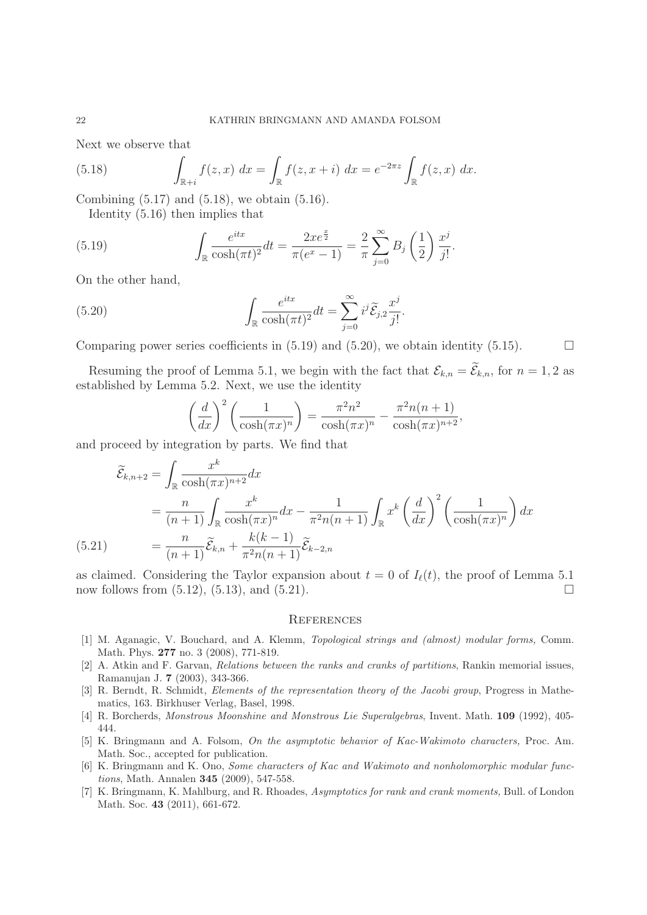Next we observe that

(5.18) 
$$
\int_{\mathbb{R}^+ i} f(z, x) \, dx = \int_{\mathbb{R}} f(z, x + i) \, dx = e^{-2\pi z} \int_{\mathbb{R}} f(z, x) \, dx.
$$

Combining (5.17) and (5.18), we obtain (5.16).

Identity (5.16) then implies that

(5.19) 
$$
\int_{\mathbb{R}} \frac{e^{itx}}{\cosh(\pi t)^2} dt = \frac{2xe^{\frac{x}{2}}}{\pi(e^x - 1)} = \frac{2}{\pi} \sum_{j=0}^{\infty} B_j \left(\frac{1}{2}\right) \frac{x^j}{j!}.
$$

On the other hand,

(5.20) 
$$
\int_{\mathbb{R}} \frac{e^{itx}}{\cosh(\pi t)^2} dt = \sum_{j=0}^{\infty} i^j \widetilde{\mathcal{E}}_{j,2} \frac{x^j}{j!}.
$$

Comparing power series coefficients in  $(5.19)$  and  $(5.20)$ , we obtain identity  $(5.15)$ .

Resuming the proof of Lemma 5.1, we begin with the fact that  $\mathcal{E}_{k,n} = \mathcal{E}_{k,n}$ , for  $n = 1, 2$  as established by Lemma 5.2. Next, we use the identity

$$
\left(\frac{d}{dx}\right)^2 \left(\frac{1}{\cosh(\pi x)^n}\right) = \frac{\pi^2 n^2}{\cosh(\pi x)^n} - \frac{\pi^2 n(n+1)}{\cosh(\pi x)^{n+2}},
$$

and proceed by integration by parts. We find that

$$
\widetilde{\mathcal{E}}_{k,n+2} = \int_{\mathbb{R}} \frac{x^k}{\cosh(\pi x)^{n+2}} dx
$$
\n
$$
= \frac{n}{(n+1)} \int_{\mathbb{R}} \frac{x^k}{\cosh(\pi x)^n} dx - \frac{1}{\pi^2 n(n+1)} \int_{\mathbb{R}} x^k \left(\frac{d}{dx}\right)^2 \left(\frac{1}{\cosh(\pi x)^n}\right) dx
$$
\n(5.21)\n
$$
= \frac{n}{(n+1)} \widetilde{\mathcal{E}}_{k,n} + \frac{k(k-1)}{\pi^2 n(n+1)} \widetilde{\mathcal{E}}_{k-2,n}
$$

as claimed. Considering the Taylor expansion about  $t = 0$  of  $I_{\ell}(t)$ , the proof of Lemma 5.1 now follows from  $(5.12)$ ,  $(5.13)$ , and  $(5.21)$ .  $\Box$ 

## **REFERENCES**

- [1] M. Aganagic, V. Bouchard, and A. Klemm, Topological strings and (almost) modular forms, Comm. Math. Phys. **277** no. 3 (2008), 771-819.
- [2] A. Atkin and F. Garvan, Relations between the ranks and cranks of partitions, Rankin memorial issues, Ramanujan J. **7** (2003), 343-366.
- [3] R. Berndt, R. Schmidt, Elements of the representation theory of the Jacobi group, Progress in Mathematics, 163. Birkhuser Verlag, Basel, 1998.
- [4] R. Borcherds, Monstrous Moonshine and Monstrous Lie Superalgebras, Invent. Math. **109** (1992), 405- 444.
- [5] K. Bringmann and A. Folsom, On the asymptotic behavior of Kac-Wakimoto characters, Proc. Am. Math. Soc., accepted for publication.
- [6] K. Bringmann and K. Ono, Some characters of Kac and Wakimoto and nonholomorphic modular functions, Math. Annalen **345** (2009), 547-558.
- [7] K. Bringmann, K. Mahlburg, and R. Rhoades, Asymptotics for rank and crank moments, Bull. of London Math. Soc. **43** (2011), 661-672.